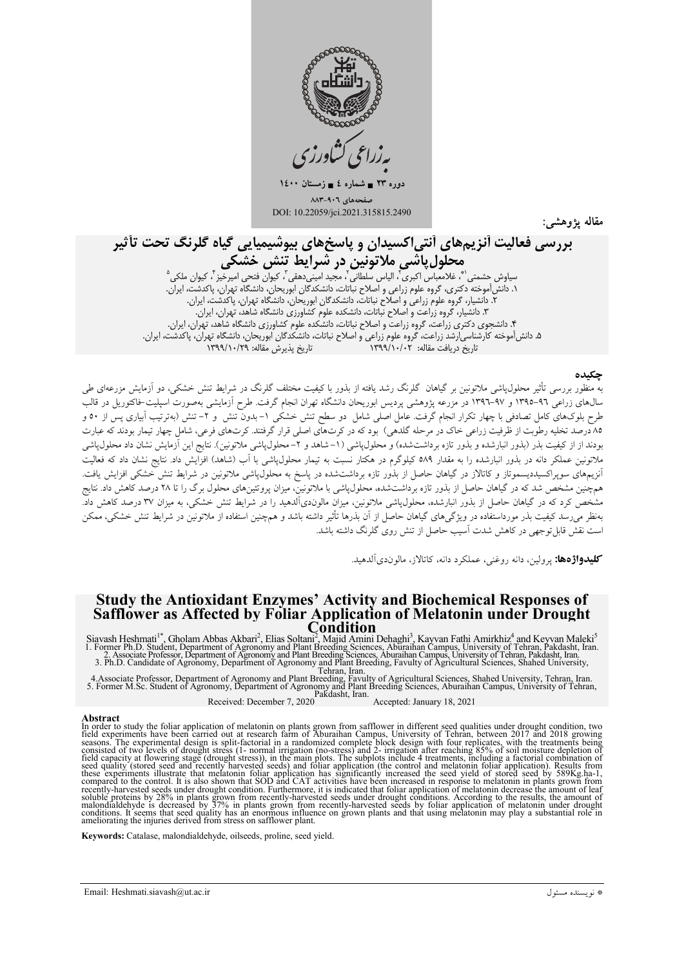

دوره ۲۳ = شماره ٤ = زمستان ١٤٠٠ حەھای ۹۰٦-۸۸۳ DOI: 10.22059/jci.2021.315815.2490

مقاله يژوهشم

# بررسی فعالیت آنزیمهای آنتی|کسیدان و پاسخهای بیوشیمیایی گیاه گلرنگ تحت تأثیر

...<br>مح**لول پانسی ملا تونین در شىرایط تنش خشىكی**<br>سیاوش حشمتی "، غلامعباس اکبری"، الیاس سلطانی"، مجید امینی دهقی"، کیوان فتحی امیرخیز"، کیوان ملکی<sup>ه</sup><br>۱. دانش[موخته دکتری، گروه علوم زراعی و اصلاح نباتات، دانشکدگان ابوریحان، ۲. دانشیار، گروه علوم زراعی و اصلاح نباتات، دانشکدگان ابوریحان، دانشگاه تهران، پاکدشت، ایران.<br>۲. دانشیار، گروه علوم زراعی و اصلاح نباتات، دانشکدگان ابوریحان، دانشگاه تهران، پاکدشت، ایران. ٣. دانشیار، گروه زراعت و اصلاح نباتات، دانشکده علوم کشآورزی دانشگاه شاهد، تهران، ایران. ۴. دانشجوی دکتری زراعت، گروه زراعت و اصلاح نباتات، دانشکده علوم کشاورزی دانشگاه شاهد، تهران، ایران. ۰۰ میستری - عربی رژی معتبرتری - از این و در این میباشد - دست میتوانیم استورژی - ساخته میکردن کبیرین.<br>۵. دانش[موخته کارشناسی|رشد زراعت، گروه علوم زراعی و اصلاح نباتات، دانشکدگان ابوریحان، دانشگاه تهران، پاکدشت، ایران.<br>تاری

#### حكىدە

به منظور بررسی تأثیر محلول،یاشی ملاتونین بر گیاهان گلرنگ رشد یافته از بذور با کیفیت مختلف گلرنگ در شرایط تنش خشکی، دو آزمایش مزرعهای طی سال@ای زراعی ۹٦-١٣٩٥ و ۹۷-١٣٩٦ در مزرعه پژوهشی پردیس ابوریحان دانشگاه تهران انجام گرفت. طرح آزمایشی بهصورت اسپلیت-فاکتوریل در قالب طرح بلوکهای کامل تصادفی با چهار تکرار انجام گرفت. عامل اصلی شامل دو سطح تنش خشکی ۱–بدون تنش و ۲– تنش (بهترتیب آبیاری پس از ۵۰ و ۸۵درصد تخلیه رطوبت از ظرفیت زراعی خاک در مرحله گلدهی) بود که در کرتهای اصلی قرار گرفتند. کرتهای فرعی، شامل چهار تیمار بودند که عبارت بودند از از کیفیت بذر (بذور انبارشده و بذور تازه برداشتشده) و محلولپاشی (۱–شاهد و ۲–محلولپاشی ملاتونین). نتایج این آزمایش نشان داد محلولپاشی ملاتونین عملکر دانه در بذور انبارشده را به مقدار ۵۸۹ کیلوگرم در هکتار نسبت به تیمار محلول،یاشی با اَب (شاهد) افزایش داد. نتایج نشان داد که فعالیت آنزیمهای سوپراکسیددیسموتاز و کاتالاز در گیاهان حاصل از بذور تازه برداشتشده در پاسخ به محلول،پاشی ملاتونین در شرایط تنش خشکی افزایش یافت. همچنین مشخص شد که در گیاهان حاصل از بذور تازه برداشتشده، محلول،پاشی با ملاتونین، میزان پروتئینهای محلول برگ را تا ۲۸ درصد کاهش داد. نتایج مشخص کرد که در گیاهان حاصل از بذور انبارشده، محلول¢شی ملاتونین، میزان مالوندیآلدهید را در شرایط تنش خشکی، به میزان ۳۷ درصد کاهش داد. بهنظر میرسد کیفیت بذر مورداستفاده در ویژگیهای گیاهان حاصل از آن بذرها تأثیر داشته باشد و همچنین استفاده از ملاتونین در شرایط تنش خشکی، ممکن است نقش قابل توجهی در کاهش شدت آسیب حاصل از تنش روی گلرنگ داشته باشد.

**کلیدواژهها:** یرولین، دانه روغنی، عملکرد دانه، کاتالاز، مالوندیآلدهید.

## **Study the Antioxidant Enzymes' Activity and Biochemical Responses of** Safflower as Affected by Foliar Application of Melatonin under Drought

Siavash Heshmati<sup>1\*</sup>, Gholam Abbas Akbari<sup>2</sup>, Elias Soltani<sup>2</sup>, Majid Amin' Dehaghi<sup>3</sup>, Kayvan Fathi Amirkhiz<sup>4</sup> and Keyvan Maleki<sup>5</sup><br>1. Former Ph.D. Student, Department of Agronomy and Plant Breeding Sciences, Aburaihan C

4. Associate Professor, Department of Agronomy and Plant Breeding, Favulty of Agricultural Sciences, Shahed University, Tehran, Iran.<br>5. Former M.Sc. Student of Agronomy, Department of Agronomy and Plant Breeding Sciences,

Received: December 7, 2020 Accepted: January 18, 2021

#### **Abstract**

**Abstract**<br>**Abstract** study the foliar application of melatonin on plants grown from safflower in different seed qualities under drought condition, two<br>In order to study the foliar application of melatonin on plants grown

Keywords: Catalase, malondialdehyde, oilseeds, proline, seed yield.

Email: Heshmati.siavash@ut.ac.ir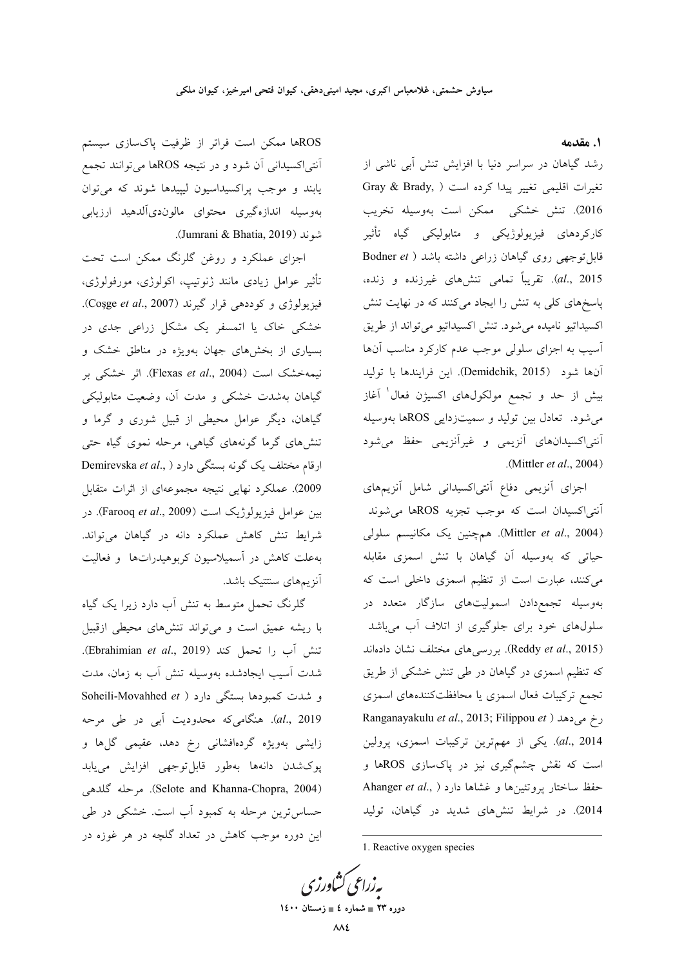**1. مقدمه** 

رشد گیاهان در سراسر دنیا با افزایش تنش آبی ناشی از تغيرات اقليمي تغيير پيدا كرده است ( Gray & Brady, 2016). تنش خشکی ً ممکن است بهوسیله تخریب کارکردهای فیزیولوژیکی و متابولیکی گیاه تأثیر قابل توجهي روي گياهان زراعي داشته باشد ( Bodner et al., 2015). تقریباً تمامی تنشهای غیرزنده و زنده، پاسخهای کلی به تنش را ایجاد میکنند که در نهایت تنش کسیداتیو نامیده میشود. تنش اکسیداتیو میتواند از طریق أسيب به اجزاى سلولى موجب عدم كاركرد مناسب آنها أنها شود (Demidchik, 2015). اين فرايندها با توليد بیش از حد و تجمع مولکول&ای اکسیژن فعال<sup>۱</sup> آغاز میشود. تعادل بین تولید و سمیتزدایی ROSها بهوسیله أنتى|كسيدانهاى أنزيمى و غيرأنزيمى حفظ مى¢ود .( Mittler *et al*., 2004)

جزای آنزیمی دفاع آنتی|کسیدانی شامل آنزیمهای أنتى|كسيدان است كه موجب تجزيه ROSها مىشوند (Mittler *et al*., 2004). همچنین یک مکانیسم سلولی حیاتی که بهوسیله آن گیاهان با تنش اسمزی مقابله میکنند، عبارت است از تنظیم اسمزی داخلی است که بهوسیله تجمعدادن اسمولیتهای سازگار متعدد در سلولهای خود برای جلوگیری از اتلاف أب میباشد Reddy et al., 2015). بررس<sub>ی</sub>های مختلف نشان دادهاند که تنظیم اسمزی در گیاهان در طی تنش خشکی از طریق نجمع تركيبات فعال اسمزى يا محافظتكنندههاى اسمزى Ranganayakulu *et al*., 2013; Filippou *et* ) + r al., 2014). یکی از مهم<sub>ا</sub>ترین ترکیبات اسمزی، پرولین است که نقش چشمگیری نیز در پاکسازی ROSها و حفظ ساختار پروتئينها و غشاها دارد ( .Ahanger et al 2014). در شرایط تنشهای شدید در گیاهان، تولید

1. Reactive oxygen species

**په زراعي کشاورزي 1400  4 - 23 -**

1

ROSها ممکن است فراتر از ظرفیت پاکسازی سیستم آنتی|کسیدانی اَن شود و در نتیجه ROSها میتوانند تجمع یابند و موجب پراکسیداسیون لیپیدها شوند که میتوان بەوسیلە اندازەگیری محتوای مالوندیألدهید ارزیابی .(Jumrani & Bhatia, 2019) )

اجزای عملکرد و روغن گلرنگ ممکن است تحت تأثیر عوامل زیادی مانند ژنوتیپ، اکولوژی، مورفولوژی، فیزیولوژی و کودده<sub>ی</sub> قرار گیرند (Coşge *et al.*, 2007). خشکی خاک یا اتمسفر یک مشکل زراعی جدی در بسیاری از بخشهای جهان بهویژه در مناطق خشک و نيمهخشک است (Flexas *et al.*, 2004). اثر خشکی بر گیاهان بهشدت خشکی و مدت آن، وضعیت متابولیکی گیاهان، دیگر عوامل محیطی از قبیل شوری و گرما و تنشهای گرما گونههای گیاهی، مرحله نموی گیاه حتی ارقام مختلف یک گونه بستگ<sub>ی</sub> دارد ( ,Demirevska *et al* 2009). عملکرد نهایی نتیجه مجموعهای از اثرات متقابل بین عوامل فیزیولوژیک است (Farooq *et al.*, 2009). در شرایط تنش کاهش عملکرد دانه در گیاهان میتواند. بهعلت كاهش در أسميلاسيون كربوهيدراتها و فعاليت أنزيمهاي سنتتيك باشد.

گلرنگ تحمل متوسط به تنش آب دارد زیرا یک گیاه با ریشه عمیق است و میتواند تنشهای محیطی ازقبیل تنش آب را تحمل كند (Ebrahimian et al., 2019). شدت آسیب ایجادشده بهوسیله تنش آب به زمان، مدت و شدت کمبودها بستگی دارد ( Soheili-Movahhed *et* al., 2019). هنگام<sub>ی</sub>که محدودیت آب<sub>ی</sub> در طی مرحه زایشی بهویژه گردهافشانی رخ دهد، عقیمی گل۱ه و پوکشدن دانهها بهطور قابلتوجهی افزایش مییابد (Selote and Khanna-Chopra, 2004). مرحله گلدهی حساس ترین مرحله به کمبود آب است. خشکی در طی این دوره موجب کاهش در تعداد گلچه در هر غوزه در '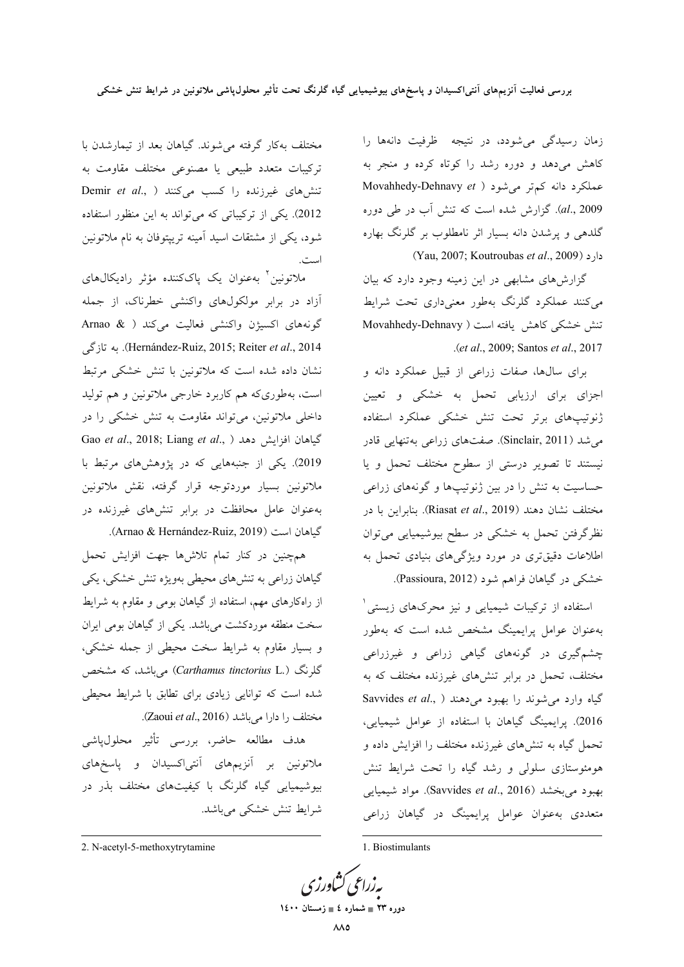زمان رسیدگی می شودد، در نتیجه ظرفیت دانهها را کاهش میدهد و دوره رشد را کوتاه کرده و منجر به Movahhedy-Dehnavy et ) عملكرد دانه كم تر مى شود al., 2009). گزارش شده است که تنش آب در طی دوره گلدهی و پرشدن دانه بسیار اثر نامطلوب بر گلرنگ بهاره (Yau, 2007; Koutroubas et al., 2009)

گزارشهای مشابهی در این زمینه وجود دارد که بیان می کنند عملکرد گلرنگ بهطور معنیداری تحت شرایط تنش خشکی کاهش یافته است ( Movahhedy-Dehnavy .(et al., 2009; Santos et al., 2017

برای سالها، صفات زراعی از قبیل عملکرد دانه و اجزای برای ارزیابی تحمل به خشکی و تعیین ژنوتیپهای برتر تحت تنش خشکی عملکرد استفاده می شد (Sinclair, 2011). صفتهای زراعی بهتنهایی قادر نیستند تا تصویر درستی از سطوح مختلف تحمل و یا حساسیت به تنش را در بین ژنوتیپها و گونههای زراعی مختلف نشان دهند (Riasat *et al.*, 2019). بنابراين با در نظرگرفتن تحمل به خشکی در سطح بیوشیمیایی میتوان اطلاعات دقیقتری در مورد ویژگیهای بنیادی تحمل به خشکی در گیاهان فراهم شود (Passioura, 2012).

استفاده از ترکیبات شیمیای<sub>ی</sub> و نیز محرکهای زیستی<sup>۱</sup> بهعنوان عوامل پرایمینگ مشخص شده است که بهطور چشمگیری در گونههای گیاهی زراعی و غیرزراعی مختلف، تحمل در برابر تنشهای غیرزنده مختلف که به Savvides et al., ) الله على دهند ( ..Savvides et al 2016). پرایمینگ گیاهان با استفاده از عوامل شیمیایی، تحمل گیاه به تنشهای غیرزنده مختلف را افزایش داده و هومئوستازی سلولی و رشد گیاه را تحت شرایط تنش بهبود میبخشد (Savvides *et al.*, 2016). مواد شیمیایی متعددی بهعنوان عوامل پرایمینگ در گیاهان زراعی

1. Biostimulants

بەزراعى كشاورزى دوره ۲۳ = شماره ٤ = زمستان ۱٤۰۰

مختلف بهکار گرفته میشوند. گیاهان بعد از تیمارشدن با .<br>ترکیبات متعدد طبیعی یا مصنوعی مختلف مقاومت به تنش های غیرزنده را کسب میکنند ( ,Demir et al 2012). یکی از ترکیباتی که می تواند به این منظور استفاده شود، یکی از مشتقات اسید آمینه ترییتوفان به نام ملاتونین است.

ملاتونین ٔ بهعنوان یک پاککننده مؤثر رادیکال۵ای آزاد در برابر مولکولهای واکنشی خطرناک، از جمله گونههای اکسیژن واکنشی فعالیت میکند ( & Arnao Hernández-Ruiz, 2015; Reiter et al., 2014). به تازگی نشان داده شده است که ملاتونین با تنش خشکی مرتبط است، بهطوری که هم کاربرد خارجی ملاتونین و هم تولید داخلی ملاتونین، میتواند مقاومت به تنش خشکی را در Gao et al., 2018; Liang et al., ) افزايش دهد 2019). یکی از جنبههایی که در پژوهشهای مرتبط با ملاتونين بسيار موردتوجه قرار گرفته، نقش ملاتونين بهعنوان عامل محافظت در برابر تنشهای غیرزنده در گیاهان است (Arnao & Hernández-Ruiz, 2019).

همچنین در کنار تمام تلاشها جهت افزایش تحمل گیاهان زراعی به تنش۵ای محیطی بهویژه تنش خشکی، یکی از راهکارهای مهم، استفاده از گیاهان بومی و مقاوم به شرایط سخت منطقه موردکشت میباشد. یکی از گیاهان بومی ایران و بسیار مقاوم به شرایط سخت محیطی از جمله خشکی، گلرنگ (.Carthamus tinctorius L) میباشد، که مشخص شده است که توانایی زیادی برای تطابق با شرایط محیطی مختلف را دارا میباشد (Zaoui et al., 2016).

هدف مطالعه حاضر، بررسی تأثیر محلولپاشی .<br>ملاتونین بر آنزیمهای آنتی|کسیدان و پاسخهای بیوشیمیایی گیاه گلرنگ با کیفیتهای مختلف بذر در شرايط تنش خشكي مي باشد.

<sup>2.</sup> N-acetyl-5-methoxytrytamine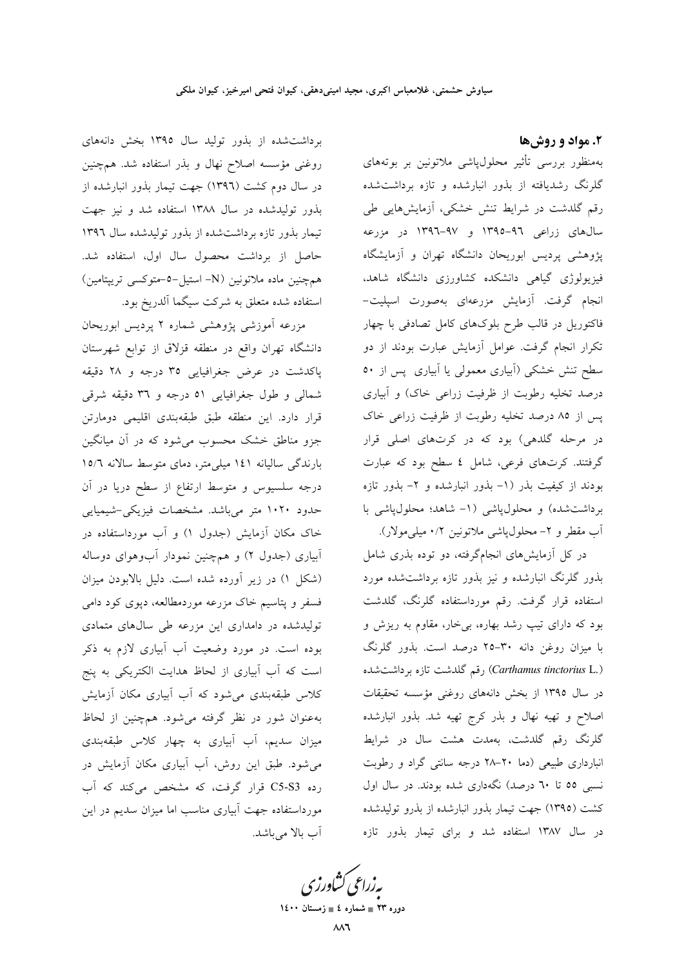۲. مواد و روشها

بهمنظور بررسی تأثیر محلول،پاشی ملاتونین بر بوتههای گلرنگ رشدیافته از بذور انبارشده و تازه برداشتشده رقم گلدشت در شرایط تنش خشکی، آزمایشهایی طی سال های زراعی ۹٦-١٣٩٥ و ۹۷-١٣٩٦ در مزرعه پژوهشی پردیس ابوریحان دانشگاه تهران و آزمایشگاه فیزیولوژی گیاهی دانشکده کشاورزی دانشگاه شاهد، انجام گرفت. آزمایش مزرعهای بهصورت اسپلیت-فاکتوریل در قالب طرح بلوکهای کامل تصادفی با چهار تکرار انجام گرفت. عوامل آزمایش عبارت بودند از دو سطح تنش خشکی (آبیاری معمولی یا آبیاری پس از ٥٠ درصد تخلیه رطوبت از ظرفیت زراعی خاک) و آبیاری پس از ۸۵ درصد تخلیه رطوبت از ظرفیت زراعی خاک در مرحله گلدهی) بود که در کرتهای اصلی قرار گرفتند. کرتهای فرعی، شامل ٤ سطح بود که عبارت بودند از کیفیت بذر (۱- بذور انبارشده و ۲- بذور تازه برداشتشده) و محلولپاشی (۱- شاهد؛ محلولپاشی با آب مقطر و ۲- محلول پاشی ملاتونین ۰/۲ میلی مولار).

در کل آزمایشهای انجامگرفته، دو توده بذری شامل بذور گلرنگ انبارشده و نیز بذور تازه برداشتشده مورد استفاده قرار گرفت. رقم مورداستفاده گلرنگ، گلدشت بود که دارای تیپ رشد بهاره، بیِخار، مقاوم به ریزش و با میزان روغن دانه ۳۰-۲۵ درصد است. بذور گلرنگ (Carthamus tinctorius L.) رقم گلدشت تازه برداشت شده در سال ۱۳۹۵ از بخش دانههای روغنی مؤسسه تحقیقات اصلاح و تهیه نهال و بذر کرج تهیه شد. بذور انبارشده گلرنگ رقم گلدشت، بهمدت هشت سال در شرایط انبارداری طبیعی (دما ٢٠-٢٨ درجه سانتی گراد و رطوبت نسبی ٥٥ تا ٦٠ درصد) نگهداری شده بودند. در سال اول کشت (۱۳۹۵) جهت تیمار بذور انبارشده از بذرو تولیدشده در سال ۱۳۸۷ استفاده شد و برای تیمار بذور تازه

برداشت شده از بذور تولید سال ۱۳۹۵ بخش دانههای روغنی مؤسسه اصلاح نهال و بذر استفاده شد. همچنین در سال دوم کشت (۱۳۹٦) جهت تیمار بذور انبارشده از بذور تولیدشده در سال ۱۳۸۸ استفاده شد و نیز جهت تیمار بذور تازه برداشتشده از بذور تولیدشده سال ۱۳۹۶ حاصل از برداشت محصول سال اول، استفاده شد. همچنین ماده ملاتونین (N- استیل-٥-متوکسی تریپتامین) استفاده شده متعلق به شرکت سیگما آلدریخ بود.

مزرعه آموزشی پژوهشی شماره ۲ پردیس ابوریحان دانشگاه تهران واقع در منطقه قزلاق از توابع شهرستان پاکدشت در عرض جغرافیایی ۳۵ درجه و ۲۸ دقیقه شمالي و طول جغرافيايي ٥١ درجه و ٣٦ دقيقه شرقي قرار دارد. این منطقه طبق طبقهبندی اقلیمی دومارتن جزو مناطق خشک محسوب میشود که در آن میانگین بارندگی سالیانه ۱٤۱ میلی متر، دمای متوسط سالانه ۱۵/٦ درجه سلسیوس و متوسط ارتفاع از سطح دریا در آن حدود ۱۰۲۰ متر میباشد. مشخصات فیزیکی-شیمیایی خاک مکان آزمایش (جدول ۱) و آب مورداستفاده در آبیاری (جدول ۲) و همچنین نمودار آبوهوای دوساله (شکل ۱) در زیر آورده شده است. دلیل بالابودن میزان فسفر و پتاسیم خاک مزرعه موردمطالعه، دپوی کود دامی تولیدشده در دامداری این مزرعه طی سالهای متمادی بوده است. در مورد وضعیت آب آبیاری لازم به ذکر است که آب آبیاری از لحاظ هدایت الکتریکی به پنج کلاس طبقهبندی میشود که آب آبیاری مکان آزمایش بهعنوان شور در نظر گرفته می شود. همچنین از لحاظ میزان سدیم، آب آبیاری به چهار کلاس طبقهبندی می شود. طبق این روش، آب آبیاری مکان آزمایش در رده C5-S3 قرار گرفت، که مشخص میکند که آب مورداستفاده جهت آبیاری مناسب اما میزان سدیم در این آب بالا می باشد.

یه زراعی کشاورزی

دوره ۲۳ = شماره ٤ = زمستان ۱٤٠٠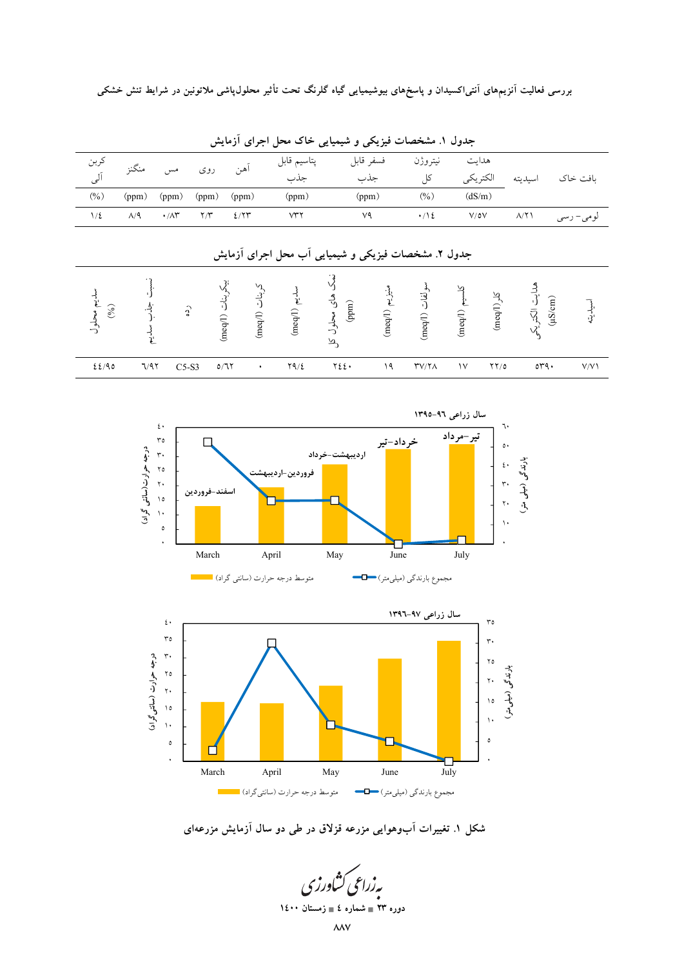| کربن<br>اَلی      | منگنز        | مس                 | روى                 | آهن                                 | پتاسيم قابل<br>جذب                                  | فسفر قابل<br>جذب                                          |                | نيتروژن<br>کل                 | هدايت<br>الكتريكي |                     | اسيديته                   | بافت خاک  |
|-------------------|--------------|--------------------|---------------------|-------------------------------------|-----------------------------------------------------|-----------------------------------------------------------|----------------|-------------------------------|-------------------|---------------------|---------------------------|-----------|
| $(\%)$            | (ppm)        | (ppm)              | (ppm)               | (ppm)                               | (ppm)                                               | (ppm)                                                     |                | $(\%)$                        | (dS/m)            |                     |                           |           |
| $1/\epsilon$      | $\Lambda$ /9 | $\cdot/\wedge r$   | $\Upsilon/\Upsilon$ | 2/77                                | VTY                                                 | ٧٩                                                        |                | $\cdot/\sqrt{2}$              | $V/\delta V$      |                     | $\Lambda/\Upsilon$        | لومي– رسي |
|                   |              |                    |                     |                                     | جدول ۲. مشخصات فیزیکی و شیمیایی أب محل اجرای أزمایش |                                                           |                |                               |                   |                     |                           |           |
| سديم محلول<br>(%) | 」<br>と       | $\hat{\mathbf{c}}$ |                     | یکر بنات (meq/l)<br>کربنات (Ineq/I) | $(\mathrm{meq} / 1)$ $\mathrm{cm}$                  | های محلول<br>$\left( \min \right)$<br>$\overline{\Delta}$ | منيزيم (meq/l) | سولفات (meq/l)                | (meq/l) استسلا    | $(\text{map}(1))$   | هدایت الکتریکی<br>(mS/cm) | اسبديته   |
| 22/90             | 7/97         | $C5-S3$            |                     | 0/77<br>٠                           | Y9/2                                                | YZE                                                       | ۱۹             | $\Upsilon V/\Upsilon \Lambda$ | $\sqrt{}$         | $\gamma \gamma / o$ | $\circ r q$ .             | V/V       |

جدول ۱. مشخصات فیزیکی و شیمیایی خاک محل اجرای ازمایش





شکل ۱. تغییرات ابوهوایی مزرعه قزلاق در طی دو سال ازمایش مزرعهای

ېه زراعی کشاورزی **۱**٤٠٠ = شماره ٤ = زمستان ۱٤۰۰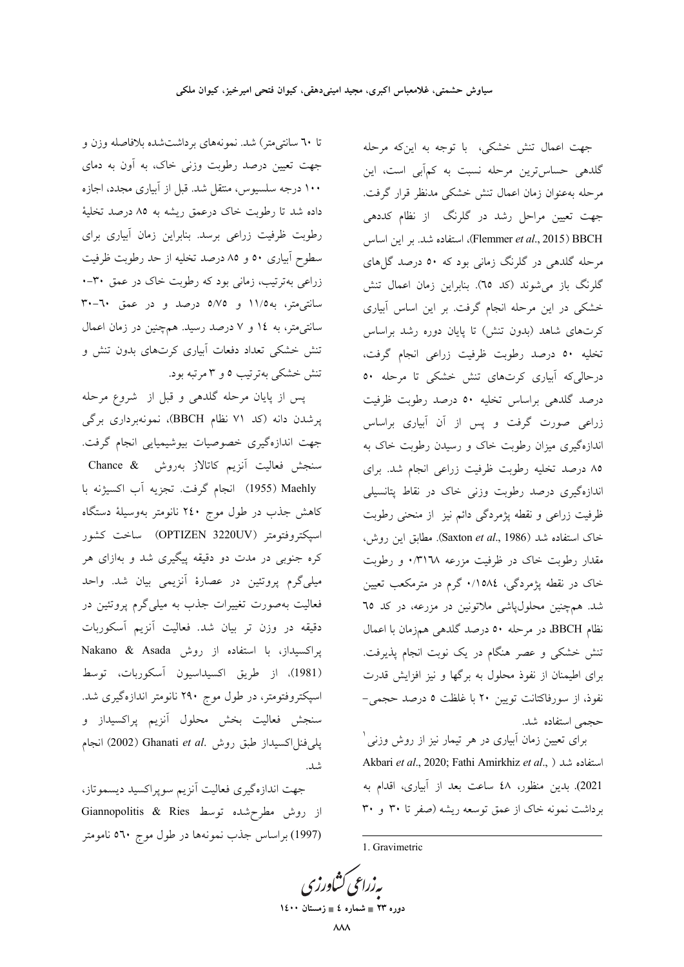تا ٦٠ سانتی متر) شد. نمونههای برداشتشده بلافاصله وزن و جهت تعیین درصد رطوبت وزنی خاک، به آون به دمای ۱۰۰ درجه سلسیوس، منتقل شد. قبل از آبیاری مجدد، اجازه داده شد تا رطوبت خاک درعمق ریشه به ۸۵ درصد تخلیهٔ رطوبت ظرفیت زراعی برسد. بنابراین زمان آبیاری برای سطوح آبیاری ٥٠ و ٨٥ درصد تخلیه از حد رطوبت ظرفیت زراعی بهترتیب، زمانی بود که رطوبت خاک در عمق ۳۰-۰ سانتی متر، به ۱۱/۵ و ۵/۷۵ درصد و در عمق ۳۰-۳۰ سانتی متر، به ١٤ و ٧ درصد رسيد. همچنين در زمان اعمال تنش خشکی تعداد دفعات آبیاری کرتهای بدون تنش و تنش خشکی بهترتیب ٥ و ٣ مرتبه بود.

پس از پایان مرحله گلدهی و قبل از شروع مرحله پرشدن دانه (کد ۷۱ نظام BBCH)، نمونهبرداری برگی جهت اندازهگیری خصوصیات بیوشیمیایی انجام گرفت. سنجش فعالیت آنزیم کاتالاز بهروش Chance & Maehly (1955) انجام گرفت. تجزيه اّب اكسيژنه با کاهش جذب در طول موج ۲٤۰ نانومتر بهوسیلهٔ دستگاه اسيكتروفتومتر (OPTIZEN 3220UV) ساخت كشور کره جنوبی در مدت دو دقیقه پیگیری شد و بهازای هر میلیگرم پروتئین در عصارهٔ آنزیمی بیان شد. واحد فعالیت بهصورت تغییرات جذب به میلیگرم پروتئین در دقیقه در وزن تر بیان شد. فعالیت آنزیم آسکوربات پراکسیداز، با استفاده از روش Nakano & Asada (1981)، از طريق اكسيداسيون أسكوربات، توسط اسپکتروفتومتر، در طول موج ۲۹۰ نانومتر اندازهگیری شد. سنجش فعالیت بخش محلول آنزیم پراکسیداز و يلي فنل اكسيداز طبق روش .Ghanati et al (2002) انجام شد.

جهت اندازهگیری فعالیت آنزیم سوپراکسید دیسموتاز، از روش مطرح شده توسط Giannopolitis & Ries (1997) براساس جذب نمونهها در طول موج ٥٦٠ نامومتر

جهت اعمال تنش خشکی، با توجه به اینکه مرحله گلدهی حساس ترین مرحله نسبت به کمآبی است، این مرحله بهعنوان زمان اعمال تنش خشكى مدنظر قرار گرفت. جهت تعیین مراحل رشد در گلرنگ از نظام کددهی Flemmer et al., 2015) BBCH)، استفاده شد. بر این اساس مرحله گلدهی در گلرنگ زمانی بود که ٥٠ درصد گلهای گلرنگ باز می شوند (کد ٦٥). بنابراین زمان اعمال تنش خشکی در این مرحله انجام گرفت. بر این اساس آبیاری کرتهای شاهد (بدون تنش) تا پایان دوره رشد براساس تخلیه ٥٠ درصد رطوبت ظرفیت زراعی انجام گرفت، درحالیکه آبیاری کرتهای تنش خشکی تا مرحله ٥٠ درصد گلدهی براساس تخلیه ٥٠ درصد رطوبت ظرفیت زراعی صورت گرفت و پس از آن آبیاری براساس اندازهگیری میزان رطوبت خاک و رسیدن رطوبت خاک به ٨٥ درصد تخليه رطوبت ظرفيت زراعي انجام شد. براي اندازهگیری درصد رطوبت وزنی خاک در نقاط پتانسیلی ظرفیت زراعی و نقطه پژمردگی دائم نیز از منحنی رطوبت خاک استفاده شد (Saxton et al., 1986). مطابق این روش، مقدار رطوبت خاک در ظرفیت مزرعه ۰/۳۱٦۸ و رطوبت خاک در نقطه پژمردگی، ۱۵۸٤٪ گرم در مترمکعب تعیین شد. همچنین محلولپاشی ملاتونین در مزرعه، در کد ٦٥ نظام BBCH، در مرحله ٥٠ درصد گلدهي همزمان با اعمال تنش خشکی و عصر هنگام در یک نوبت انجام پذیرفت. برای اطیمنان از نفوذ محلول به برگها و نیز افزایش قدرت نفوذ، از سورفاكتانت تويين ٢٠ با غلظت ٥ درصد حجمي-حجمى استفاده شد.

برای تعیین زمان آبیاری در هر تیمار نیز از روش وزنی ٰ Akbari et al., 2020; Fathi Amirkhiz et al., ) استفاده شد 2021). بدين منظور، ٤٨ ساعت بعد از آبياري، اقدام به برداشت نمونه خاک از عمق توسعه ریشه (صفر تا ۳۰ و ۳۰

1. Gravimetric

بەزراعى كشاورزى دوره ۲۳ = شماره ٤ = زمستان ۱٤۰۰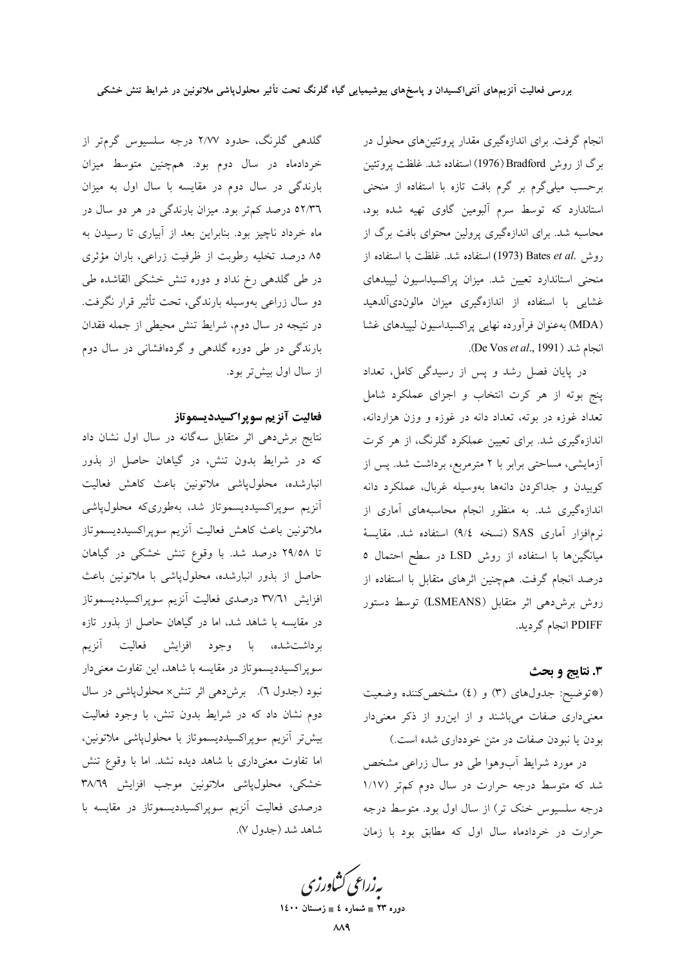انجام گرفت. برای اندازهگیری مقدار پروتئینهای محلول در برگ از روش Bradford (1976) استفاده شد. غلظت پروتئين برحسب میلیگرم بر گرم بافت تازه با استفاده از منحنی استاندارد که توسط سرم آلبومین گاوی تهیه شده بود، محاسبه شد. برای اندازهگیری پرولین محتوای بافت برگ از روش Bates et al. استفاده شد. غلظت با استفاده از منحنی استاندارد تعیین شد. میزان پراکسیداسیون لیپیدهای غشایی با استفاده از اندازهگیری میزان مالوندیآلدهید (MDA) به عنوان فرآورده نهایی پراکسیداسیون لیپیدهای غشا انجام شد (De Vos et al., 1991).

در پایان فصل رشد و پس از رسیدگی کامل، تعداد پنج بوته از هر کرت انتخاب و اجزای عملکرد شامل تعداد غوزه در بوته، تعداد دانه در غوزه و وزن هزاردانه، اندازهگیری شد. برای تعیین عملکرد گلرنگ، از هر کرت آزمایشی، مساحتی برابر با ۲ مترمربع، برداشت شد. پس از کوبیدن و جداکردن دانهها بهوسیله غربال، عملکرد دانه اندازهگیری شد. به منظور انجام محاسبههای آماری از نرمافزار آماری SAS (نسخه ٩/٤) استفاده شد. مقایسهٔ میانگینها با استفاده از روش LSD در سطح احتمال ٥ درصد انجام گرفت. همچنین اثرهای متقابل با استفاده از روش برشدهی اثر متقابل (LSMEANS) توسط دستور PDIFF انجام گرديد.

## 3. نتايج و بحث

(\*توضيح: جدولهاي (٣) و (٤) مشخص كننده وضعيت معنیداری صفات میباشند و از این رو از ذکر معنیدار بودن یا نبودن صفات در متن خودداری شده است.)

در مورد شرایط آبوهوا طی دو سال زراعی مشخص شد که متوسط درجه حرارت در سال دوم کمتر (۱/۱۷ درجه سلسیوس خنک تر) از سال اول بود. متوسط درجه حرارت در خردادماه سال اول که مطابق بود با زمان

گلدهی گلرنگ، حدود ۲/۷۷ درجه سلسیوس گرمتر از خردادماه در سال دوم بود. همچنین متوسط میزان بارندگی در سال دوم در مقایسه با سال اول به میزان ۵۲/۳٦ درصد کم تر بود. میزان بارندگی در هر دو سال در ماه خرداد ناچیز بود. بنابراین بعد از آبیاری تا رسیدن به ۸۵ درصد تخلیه رطوبت از ظرفیت زراعی، باران مؤثری در طی گلدهی رخ نداد و دوره تنش خشکی القاشده طی دو سال زراعی بهوسیله بارندگی، تحت تأثیر قرار نگرفت. در نتیجه در سال دوم، شرایط تنش محیطی از جمله فقدان بارندگی در طی دوره گلدهی و گردهافشانی در سال دوم از سال اول بیش تر بود.

#### فعاليت آنزيم سوپراكسيدديسموتاز

نتایج برشدهی اثر متقابل سهگانه در سال اول نشان داد که در شرایط بدون تنش، در گیاهان حاصل از بذور انبارشده، محلول،پاشی ملاتونین باعث کاهش فعالیت آنزیم سوپراکسیددیسموتاز شد، بهطوریکه محلولپاشی ملاتونين باعث كاهش فعاليت آنزيم سوپراكسيدديسموتاز تا ۲۹/۵۸ درصد شد. با وقوع تنش خشکی در گیاهان حاصل از بذور انبارشده، محلولپاشی با ملاتونین باعث افزايش ٣٧/٦١ درصدى فعاليت آنزيم سوپراكسيدديسموتاز در مقایسه با شاهد شد، اما در گیاهان حاصل از بذور تازه برداشت شده، با وجود افزایش فعالیت آنزیم سوپراکسیددیسموتاز در مقایسه با شاهد، این تفاوت معنی<mark>دار</mark> نبود (جدول ٦). برشدهی اثر تنش× محلولپاشی در سال دوم نشان داد که در شرایط بدون تنش، با وجود فعالیت بیش تر آنزیم سوپراکسیددیسموتاز با محلول،پاشی ملاتونین، اما تفاوت معنىدارى با شاهد ديده نشد. اما با وقوع تنش خشکی، محلولپاشی ملاتونین موجب افزایش ۳۸/٦٩ درصدی فعالیت آنزیم سوپراکسیددیسموتاز در مقایسه با شاهد شد (جدول V).

بەزراعى ڭشاورزى

دوره ۲۳ = شماره ٤ = زمستان ۱٤۰۰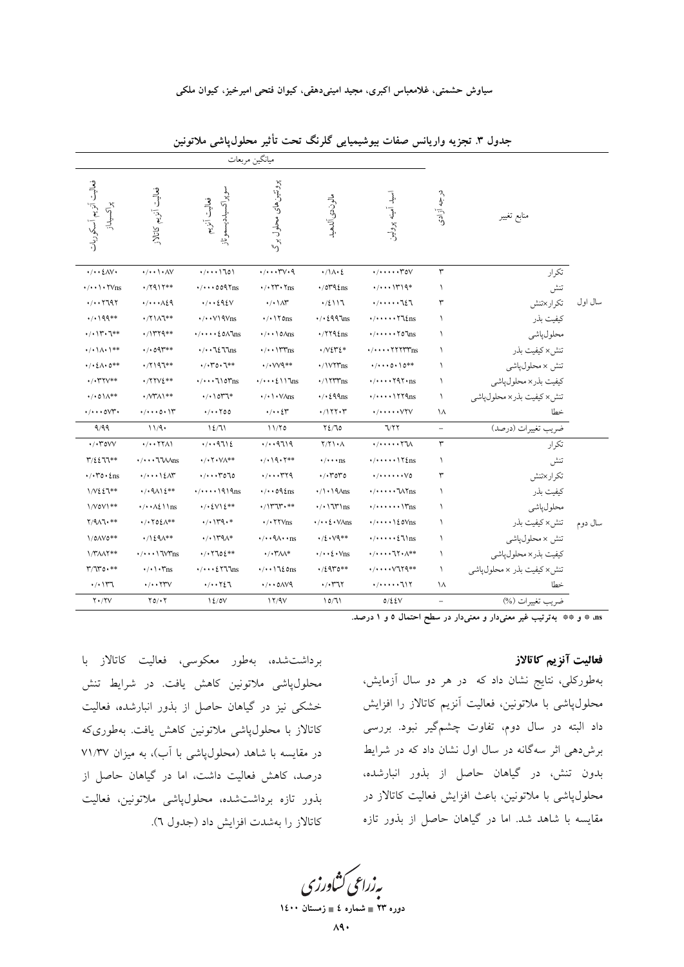سیاوش حشمتی، غلامعباس اکبری، مجید امینیدهقی، کیوان فتحی امیرخیز، کیوان ملکی

|                                                         |                                                       |                                                           | ميانگين مربعات                                       |                                                          |                                                                                               |                          |                           |         |
|---------------------------------------------------------|-------------------------------------------------------|-----------------------------------------------------------|------------------------------------------------------|----------------------------------------------------------|-----------------------------------------------------------------------------------------------|--------------------------|---------------------------|---------|
| فعاليت أنزيم أسكوريات<br>پراکسيداز                      | فعاليت آنزيم كاتالاز                                  | سوپراكسيدديسموتاز<br>فعاليت آنزيم                         | پروتئین های محلول برگ                                | مالوندى آلدهيد                                           | اسيد أمينه پرولين                                                                             | درجه آزادی               | منابع تغيير               |         |
| $\cdot/\cdot\cdot\angle$ AV $\cdot$                     | $\cdot/\cdot\cdot\setminus\cdot\wedge\vee$            | (1.110)                                                   | $\cdot/\cdots\tau\vee\cdot\gamma$                    | $\cdot/\lambda\cdot\zeta$                                | $\cdot/\cdot\cdot\cdot\cdot$ $\uparrow\circ\vee$                                              | $\mathbf{\breve{r}}$     | تكرار                     |         |
| $\cdot/\cdot\cdot\setminus\cdot\mathsf{YVs}$            | $\cdot$ /7917**                                       | $\cdot/\cdot\cdot\cdot$ 009 $\gamma$ ms                   | $\cdot$ / $\cdot$ $\uparrow\uparrow\cdot\uparrow$ ns | $\cdot$ /079 $\ell$ ns                                   | $\cdot/\cdots$ \r\q*                                                                          | $\lambda$                | تنش                       |         |
| $\cdot$ / $\cdot$ $\cdot$ $7797$                        | $\cdot/\cdot\cdot\wedge\zeta$                         | $\cdot/\cdot\cdot$ 292 $\vee$                             | $\cdot/\cdot$ \ $\wedge\uparrow$                     | .72117                                                   |                                                                                               | ٣                        | تكرار×تنش                 | سال اول |
| **199**                                                 | */٢١٨٦**                                              | $\cdot$ / $\cdot$ $\vee$ $\wedge$ $\wedge$ $\wedge$       | $\cdot$ / $\cdot$ \ $\circ$ ns                       | $\cdot$ / $\cdot$ {997ms                                 | $\cdot/\cdot\cdot\cdot\cdot\cdot\cdot\cdot$                                                   | ١                        | كيفيت بذر                 |         |
| $\cdot/\cdot$ ) $\mathsf{Y}^{\ast}\cdot\mathsf{T}^{**}$ | $\cdot$ /1۳۲۹**                                       | $\cdot/\cdot\cdot\cdot\text{EOM}$                         | $\cdot/\cdot\cdot$ \ 0 $\land$ ns                    | $\cdot$ /۲۲۹٤ns                                          | $\cdot/\cdot\cdot\cdot\cdot\cdot\cdot\cdot\cdot\text{ }$ lns                                  | $\lambda$                | محلول پاشى                |         |
| $\cdot/\cdot$ \ $\wedge\cdot$ \**                       | $\cdot$ / $\cdot$ 09 $\ast$ *                         | $\cdot/\cdot\cdot$ 72 77ns                                | $\cdot/\cdot\cdot$ \\rms                             | $\cdot$ / $\vee$ $\circ$ $\circ$ $\circ$ $\circ$ $\circ$ | $\cdot/\!\cdot\!\cdot\!\cdot$ $\mathsf{Y}\mathsf{Y}\mathsf{Y}\mathsf{Y}\mathsf{Y}\mathsf{ns}$ | ١                        | تنش× كيفيت بذر            |         |
| $\cdot$ / $\cdot$ { $\wedge \cdot$ 0**                  | $\cdot$ /۲۱۹٦**                                       | $\cdot / \cdot 70 \cdot 7**$                              | $\cdot$ / $\cdot$ $\vee$ $\vee$ q**                  | ·/\VYYns                                                 | $\cdot / \cdot \cdot \cdot \circ \cdot \setminus 0^{**}$                                      | $\lambda$                | تنش × محلول،پاشي          |         |
| <b>./. ۳۲</b> ۷**                                       | ·/۲۲۷٤**                                              | $\cdot/\cdot\cdot\cdot\text{10}$ ms                       | $\cdot/\cdot\cdot\cdot\{117\}$ ns                    | $\cdot$ /\\\\ms                                          | $\cdot/\cdot\cdot\cdot$ $\cdot$ $\gamma$ 97 $\cdot$ ns                                        | $\lambda$                | كيفيت بذر× محلولپاشي      |         |
| $\cdot/\cdot 0$ \ $\wedge^{\ast\ast}$                   | <b>.</b> / $\mathcal{M}^*\Lambda$ \**                 | $\cdot/\cdot$ ) or $\uparrow *$                           | $\cdot$ / $\cdot$ $\vee$ $\wedge$ ns                 | $\cdot$ / $\cdot$ {99ms                                  | $\cdot/\cdots\cdot$ 1779 $\text{ns}$                                                          | ١                        | تنش× كيفيت بذر× محلولياشي |         |
| $\cdot/\cdot\cdot\cdot$ ovr $\cdot$                     | $\cdot/\cdot\cdot\cdot\circ\cdot$ \ $\Upsilon$        | $\cdot$ / $\cdot$ $\cdot$ $\cdot$ $\circ$ $\circ$         | ۰/۰۰٤۳                                               | ۰/۱۲۲۰۳                                                  | $\cdot/\cdot\cdot\cdot\cdot\vee\Upsilon$                                                      | ١٨                       | خطا                       |         |
| 9/99                                                    | 11/9                                                  | 12/71                                                     | 11/70                                                | Y2/T0                                                    | 7/77                                                                                          | $\overline{\phantom{a}}$ | ضريب تغييرات (درصد)       |         |
| $\cdot$ / $\cdot$ ۳٥۷ $\vee$                            | $\cdot/\cdot\cdot$ $\uparrow\uparrow\wedge\uparrow$   | .7.9712                                                   | 4/119                                                | $Y/Y$ $\cdot \wedge$                                     | $\cdot$ / $\cdot$ $\cdot\cdot\cdot\cdot\uparrow\mathcal{N}$                                   | $\mathbf{r}$             | تكرار                     |         |
| $Y/\{211**}$                                            | $\cdot/\cdot\cdot\cdot\mathsf{U}\mathsf{W}\Lambda$ ns | $\cdot$ / $\cdot$ Y $\cdot$ V $\wedge^*$ *                | ***۱۹۰۲**                                            | $\cdot/\cdot\cdot$ ns                                    | $\cdot/\cdot\cdot\cdot\cdot\setminus\tau_{\text{Lns}}$                                        | $\lambda$                | تنش                       |         |
| $\cdot$ / $\cdot$ ۳0 $\cdot$ $\epsilon$ ns              | $\cdot/\cdot\cdot\cdot$ ) $\zeta\wedge\breve{\tau}$   | $\cdot/\cdot\cdot\cdot$ rolo                              | $\cdot/\cdots$ ۳۲۹                                   | $\cdot$ / $\cdot$ ۳٥٣٥                                   | •/••••••V٥                                                                                    | ٣                        | تكرار×تنش                 |         |
| 1/V٤٤٦**                                                | $\cdot$ / $\cdot$ 9112**                              | $\cdot/\cdot\cdot\cdot$ 1919ns                            | $\cdot/\cdot \cdot \circ \theta$ ins                 | $\cdot/\right)$ + 19 $\Lambda$ ns                        | $\cdot/\cdot\cdot\cdot\cdot\sqrt{W}$ ns                                                       | $\lambda$                | كيفيت بذر                 |         |
| \/V0V\**                                                | $\cdot/\cdot\cdot$ $\wedge$ { $\wedge$ \ \ ns         | $\cdot / \cdot \frac{1}{2} V \leq \frac{1}{2} * *$        | *********                                            | $\cdot$ / $\cdot$ \ $\uparrow \uparrow \uparrow$ \ ns    | $\cdot/\cdot\cdot\cdot\cdot\cdot\vee_{\text{ms}}$                                             | $\lambda$                | محلول پاشى                |         |
| $Y/4\Lambda1.***$                                       |                                                       | $\cdot/\cdot$ $\uparrow$ $\uparrow$ $\uparrow$ $\uparrow$ | $\cdot$ / $\cdot$ $\forall$ Y $\forall$ ns           | $\cdot/\cdot\cdot\{\cdot\}\sqrt{\lambda}$ ns             | $\cdot/\cdot\cdot\cdot\setminus\{\text{oVns}\}$                                               | $\lambda$                | تنش×كيفيت بذر             | سال دوم |
| 1/0AV0**                                                | $\cdot$ /1291**                                       | $\cdot/\cdot$ )۳۹۸*                                       | •/• • ٩∧• • ns                                       | $\cdot / 2 \cdot V9**$                                   | $\cdot/\cdot\cdot\cdot\cdot\in\mathbb{N}$ ns                                                  | ١                        | تنش × محلول،پاشي          |         |
| <b>1/۳/۸/۲**</b>                                        | $\cdot/\cdots$ \ "\\"ns                               | $4/17702**$                                               | $\cdot$ / $\cdot$ ۳۸۸*                               | $\cdot/\cdot\cdot\{\cdot\}_{\text{ns}}$                  | $\cdot/\cdot\cdot\cdot$ 17 $\cdot\wedge^{**}$                                                 | $\lambda$                | كيفيت بذر× محلولپاشي      |         |
| $Y/TY0**$                                               | $\cdot/\cdot\cdot\cdot$ Tns                           | $\cdot/\cdot\cdot\cdot$ { $\Upsilon$ \right] \right]      | $\cdot/\cdot\cdot$ \ ] { $\circ$ ns                  | $\cdot$ / { 9 $\mathsf{Y}$ 0**                           | */••••۷٦٢٩**                                                                                  | ١                        | تنش×کیفیت بذر × محلولپاشی |         |
| $\cdot$ / $\cdot$                                       | $\cdot/\cdot\cdot$ YYV                                | $\cdot/\cdot\cdot$ $\cdot\cdot\cdot$                      | $\cdot/\cdot\cdot$ OAV9                              | $\cdot$ / $\cdot$ $\uparrow$ $\uparrow$ $\uparrow$       | $\cdot/\cdot\cdot\cdot\cdot$ ٦١٢                                                              | ۱۸                       | خطا                       |         |
| $Y \cdot / YV$                                          | $Y0/\cdot Y$                                          | 12/0V                                                     | 11/9V                                                | 10/71                                                    | $0/\xi$                                                                                       | $\qquad \qquad -$        | ضريب تغييرات (%)          |         |

جدول ٣. تجزيه واريانس صفات بيوشيميايي گلرنگ تحت تأثير محلول¢لشي ملاتونين

ns» \* و \*\* بهترتیب غیر معنیدار و معنیدار در سطح احتمال ٥ و ١ درصد.

## فعاليت آنزيم كاتالاز

بهطورکلی، نتایج نشان داد که در هر دو سال آزمایش، محلول،پاشی با ملاتونین، فعالیت آنزیم کاتالاز را افزایش داد البته در سال دوم، تفاوت چشمگیر نبود. بررسی برشدهی اثر سهگانه در سال اول نشان داد که در شرایط بدون تنش، در گیاهان حاصل از بذور انبارشده، محلول پاشی با ملاتونین، باعث افزایش فعالیت کاتالاز در مقایسه با شاهد شد. اما در گیاهان حاصل از بذور تازه

برداشت شده، بهطور معکوسی، فعالیت کاتالاز با محلول،پاشی ملاتونین کاهش یافت. در شرایط تنش خشکی نیز در گیاهان حاصل از بذور انبارشده، فعالیت کاتالاز با محلول،پاشی ملاتونین کاهش یافت. بهطوریکه در مقایسه با شاهد (محلولپاشی با آب)، به میزان ۷۱/۳۷ درصد، کاهش فعالیت داشت، اما در گیاهان حاصل از بذور تازه برداشتشده، محلول،پاشی ملاتونین، فعالیت کاتالاز را بهشدت افزایش داد (جدول ٦).

ېه زراعی کشاورزی

دوره ۲۳ ∎ شماره ٤ ∎ زه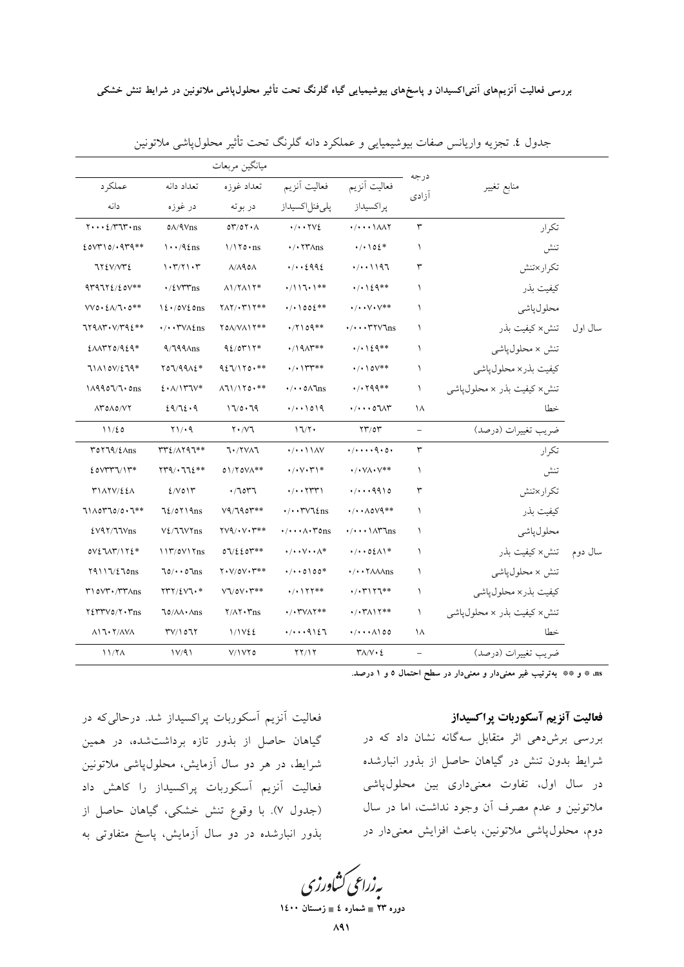|         |                               |                          |                                                      |                                                                     | ميانگين مربعات                       |                                                                 |                                                                             |
|---------|-------------------------------|--------------------------|------------------------------------------------------|---------------------------------------------------------------------|--------------------------------------|-----------------------------------------------------------------|-----------------------------------------------------------------------------|
|         | منابع تغيير                   | درجه                     | فعاليت آنزيم                                         | فعاليت أنزيم                                                        | تعداد غوزه                           | تعداد دانه                                                      | عملكرد                                                                      |
|         |                               | ازادى                    | پراكسيداز                                            | پلى فنل اكسيداز                                                     | در بوته                              | در غوزه                                                         | دانه                                                                        |
|         | تكرار                         | $\mathbf r$              | $\cdot/\cdot\cdot\cdot\Lambda\Lambda$                | $\cdot/\cdot\cdot\mathsf{YV}$                                       | OY/OY A                              | $0\sqrt{4}$ Vns                                                 | $\mathbf{y} \cdots \mathbf{z} / \mathbf{y} \mathbf{w} \cdot \mathbf{n}$ s   |
|         | تنش                           | $\lambda$                | $\cdot/\cdot \cdot 02*$                              | $\cdot$ / $\cdot$ $\uparrow \uparrow \uparrow \uparrow \uparrow$ ns | $1/170 \cdot ns$                     | $\cdots$ /9 $\ell$ ns                                           | $200710/1979**$                                                             |
|         | تكرار ×تنش                    | ٣                        | (1.1197)                                             | 41.16442                                                            | $\Lambda/\Lambda$ 90 $\Lambda$       | 1.7771.7                                                        | 77EV/VTE                                                                    |
|         | كيفيت بذر                     | $\lambda$                | $\cdot/\cdot$ 129 **                                 | $\cdot / 117.1**$                                                   | $\Lambda$ 1/7 $\Lambda$ 17*          | $\cdot$ / { $V^{\star\star}$ ns                                 | $479772/20V**$                                                              |
|         | محلول پاشي                    | $\lambda$                | $\cdot/\cdot\cdot\vee\cdot\vee^{\ast\ast}$           | $\cdot$ / $\cdot$ \ 00 $\mathcal{E}^{**}$                           | $YAY$ . $YYY**$                      | $12.70V$ $20$ ns                                                | $VVO \cdot \frac{2}{2}$ $\Lambda/T \cdot 0**$                               |
| سال اول | ِ تَنش × كيفيت بذر            | $\lambda$                | $\cdot/\cdot\cdot$ $\uparrow\uparrow\vee\uparrow$ ns | $\cdot$ /7109 **                                                    | YOA/VAIY**                           | $\cdot/\cdot \cdot \text{YVA2ns}$                               | $7791Y. V/T92**$                                                            |
|         | تنش × محلولپاشي               | $\lambda$                | $\cdot$ / $\cdot$ \ { 9**                            | $\cdot$ /19 $\Lambda$ r**                                           | $92/0417*$                           | $9/799\text{Ans}$                                               | $E\Lambda\Lambda$ ۳۲٥/۹٤٩*                                                  |
|         | كيفيت بذر× محلول پاشي         | $\lambda$                | $\cdot$ / $\cdot$ \ ov**                             | $\cdot$ / $\gamma$ $\gamma$ **                                      | $927/170**$                          | $Y07/99A2*$                                                     | 711107/279*                                                                 |
|         | تنش× كيفيت بذر × محلول،پاشي   | ١                        | $\cdot$ / $\cdot$ $\uparrow$ 99**                    | $\cdot/\cdot \cdot \circ \wedge \text{Ins}$                         | $\Lambda$ 11/170.**                  | 2.1                                                             | 1199077.0ns                                                                 |
|         | خطا                           | ۱۸                       | ۱/۰۰۰۵۶۸۳                                            | (1.1019)                                                            | 17/0.79                              | 29/72.9                                                         | $\Lambda Y$ $0 \Lambda 0 / VY$                                              |
|         | ضريب تغييرات (درصد)           | $\overline{\phantom{0}}$ | $\Upsilon\Upsilon/0\Upsilon$                         | 17/7                                                                | $Y \cdot /V$ ٦                       | $Y\rightarrow 9$                                                | 11/20                                                                       |
|         | تكرار                         | ٣                        | $(1)$ q.o.                                           | $\cdot$ / $\cdot$ \ \ $\wedge$ \                                    | 70/7717                              | <b>٣٣٤/٨٢٩٦**</b>                                               | $\Upsilon$ $\Upsilon$ $\Upsilon$ $\Upsilon$ $\Upsilon$ $\Lambda$ $\Upsilon$ |
|         | تنش                           | $\lambda$                | $\cdot$ / $\cdot$ $\vee$ A $\cdot$ $\vee$ **         | $\cdot/\cdot\vee\cdot\Upsilon$                                      | $01/70V/\star*$                      | $\{Y^{\alpha}Q/\cdot 772^{**}\}$                                | $EOWYYV1Y*$                                                                 |
|         | تكرار×تنش                     | ٣                        | $\cdot/\cdot\cdot\cdot$ 9910                         | $\cdot/\cdot\cdot$ $\uparrow\uparrow\uparrow\uparrow$               | .7077                                | $2/V$ $0 \mid Y$                                                | <b>٣١٨٢٧/٤٤٨</b>                                                            |
|         | كيفيت بذر                     | $\lambda$                | $\cdot/\cdot\cdot\Lambda$ over $\ast\ast$            | $\cdot/\cdot \cdot \text{TV}$ \ $\text{f}$ ns                       | $V9/790$ $**$                        | $72/0719$ ns                                                    | $71\land 0770/0.7**$                                                        |
|         | محلول پاشي                    | $\lambda$                | $\cdot/\cdot\cdot\cdot\wedge\tau$ \ns                | $\cdot/\cdot\cdot\wedge\cdot\text{rons}$                            | $\Upsilon V \sim V \cdot V^{**}$     | $V\ell/\text{UVY}$ ns                                           | EV4Y/TVns                                                                   |
| سال دوم | تنش× كيفيت بذر                | $\lambda$                | $\cdot/\cdot\cdot$ 0 { $\wedge$ \*                   | $\cdot/\cdot\cdot\vee\cdot\cdot\wedge^*$                            | 07/220                               | 117/0V17ns                                                      | $OV\S$ <i>TAT/172*</i>                                                      |
|         | تنش × محلول،پاش <sub>می</sub> | $\lambda$                | $\cdot/\cdot\cdot\7$ $\lambda\lambda\Lambda$ ns      | $\cdot$ / $\cdot$ 0100*                                             | $Y\cdot V/OV\cdot Y^{**}$            | $70/4.07$ ms                                                    | $Y4117/\ell70$ ns                                                           |
|         | كيفيت بذر× محلولپاشي          | $\lambda$                | ********                                             | $\cdot$ / $\cdot$ $\uparrow$ $\uparrow$ $\uparrow$ **               | $V\Upsilon$ /0 $V\cdot\Upsilon^{**}$ | $\Upsilon \Upsilon \Upsilon / \Sigma \Upsilon \Upsilon \cdot *$ | $\mathsf{r}\setminus\mathsf{ovr}\cdot\mathsf{r}\mathsf{r}\wedge\mathsf{ns}$ |
|         | تنش× کیفیت بذر × محلولµشی     | $\lambda$                | $\cdot$ / $\cdot$ ۳ $\wedge$ $\wedge$ **             | $\cdot$ / $\cdot$ ۳۷ $\wedge$ ۲**                                   | $Y/\Lambda Y \cdot Y_{\text{BS}}$    | $\sqrt{\frac{\lambda}{m}}$                                      | $Y\SYYV0/Y\cdot Yns$                                                        |
|         | خطا                           | ۱۸                       | $\cdot/\cdot\cdot\wedge\wedge$ 00                    | $\cdot/\cdot\cdot\cdot$ 9127                                        | 1/1V22                               | $\Upsilon V / 107$                                              | $\Lambda$ 17.7/ $\Lambda$ V $\Lambda$                                       |
|         | ضريب تغييرات (درصد)           |                          | $\Upsilon \wedge / V \cdot \Sigma$                   | YY/Y                                                                | V/IVY0                               | 1V/91                                                           | 11/7 <sub>A</sub>                                                           |

جدول ٤. تجزيه واريانس صفات بيوشيميايي و عملكرد دانه گلرنگ تحت تأثير محلول،پاشي ملاتونين

.<br>as \* \* \* و \*\* بهترتیب غیر معنیدار و معنیدار در سطح احتمال ٥ و ١ درصد.

## فعاليت آنزيم آسكوربات پراكسيداز

بررسی برشدهی اثر متقابل سهگانه نشان داد که در شرایط بدون تنش در گیاهان حاصل از بذور انبارشده در سال اول، تفاوت معنیداری بین محلولپاشی ملاتونین و عدم مصرف آن وجود نداشت، اما در سال دوم، محلولپاشی ملاتونین، باعث افزایش معنیدار در

فعالیت آنزیم آسکوربات پراکسیداز شد. درحالیکه در گیاهان حاصل از بذور تازه برداشتشده، در همین شرایط، در هر دو سال آزمایش، محلولپاشی ملاتونین فعالیت آنزیم آسکوربات پراکسیداز را کاهش داد (جدول ۷). با وقوع تنش خشکی، گیاهان حاصل از بذور انبارشده در دو سال آزمایش، پاسخ متفاوتی به

بەزراعى كشاورزى

دوره ۲۳ ∎ شماره ٤ ∎ زم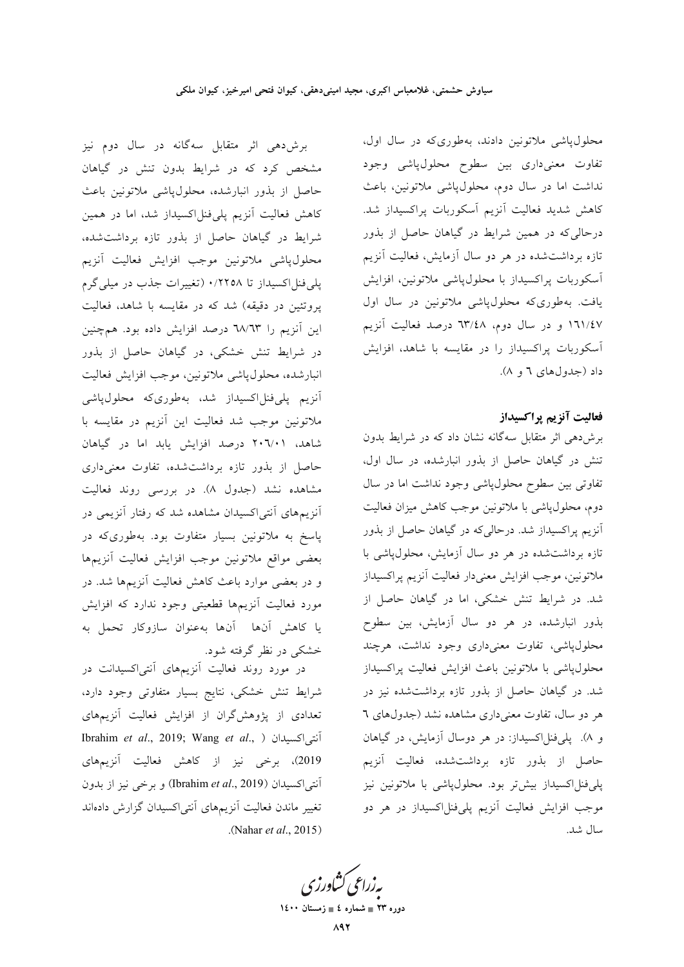محلولپاشی ملاتونین دادند، بهطوریکه در سال اول، تفاوت معنیداری بین سطوح محلولپاشی وجود نداشت اما در سال دوم، محلولپاش<sub>ی</sub> ملاتونین، باعث كاهش شديد فعاليت أنزيم أسكوربات پراكسيداز شد. درحالی که در همین شرایط در گیاهان حاصل از بذور تازه برداشتشده در هر دو سال آزمایش، فعالیت آنزیم أسكوربات پراكسيداز با محلول¢پاشي ملاتونين، افزايش یافت. بهطوریکه محلولپاشی ملاتونین در سال اول ١٦١/٤٧ و در سال دوم، ٦٣/٤٨ درصد فعاليت أنزيم آسکوربات پراکسیداز را در مقایسه با شاهد، افزایش داد (جدول های ۲ و ۸).

#### فعاليت آنزيم پراكسيداز

برشدهی اثر متقابل سهگانه نشان داد که در شرایط بدون تنش در گیاهان حاصل از بذور انبارشده، در سال اول، تفاوتی بین سطوح محلولپاشی وجود نداشت اما در سال دوم، محلول،پاشی با ملاتونین موجب کاهش میزان فعالیت آنزیم پراکسیداز شد. درحالیکه در گیاهان حاصل از بذور تازه برداشتشده در هر دو سال آزمایش، محلول،پاشی با ملاتونين، موجب افزايش معنىدار فعاليت أنزيم پراكسيداز شد. در شرایط تنش خشکی، اما در گیاهان حاصل از بذور انبارشده، در هر دو سال آزمایش، بین سطوح محلول پاشی، تفاوت معنیداری وجود نداشت، هرچند محلولپاشی با ملاتونین باعث افزایش فعالیت پراکسیداز شد. در گیاهان حاصل از بذور تازه برداشتشده نیز در هر دو سال، تفاوت معنیداری مشاهده نشد (جدولهای ٦ و ۸). پلیفنلاکسیداز: در هر دوسال آزمایش، در گیاهان حاصل از بذور تازه برداشتشده، فعالیت آنزیم پلی فنلاکسیداز بیش تر بود. محلول پاشی با ملاتونین نیز موجب افزایش فعالیت آنزیم پلیفنلاکسیداز در هر دو سال شد.

برشدهی اثر متقابل سهگانه در سال دوم نیز مشخص کرد که در شرایط بدون تنش در گیاهان حاصل از بذور انبارشده، محلولپاشی ملاتونین باعث کاهش فعالیت آنزیم پلیفنل|کسیداز شد، اما در همین شرایط در گیاهان حاصل از بذور تازه برداشتشده، محلول پاشی ملاتونین موجب افزایش فعالیت آنزیم پلی فنل اکسیداز تا ۰/۲۲۵۸ (تغییرات جذب در میلی گرم پروتئین در دقیقه) شد که در مقایسه با شاهد، فعالیت این آنزیم را ٦٨/٦٣ درصد افزایش داده بود. همچنین در شرایط تنش خشکی، در گیاهان حاصل از بذور انبارشده، محلول پاشی ملاتونین، موجب افزایش فعالیت أنزيم يلي فنلاكسيداز شد، بهطوري كه محلول ياشى ملاتونین موجب شد فعالیت این آنزیم در مقایسه با شاهد، ۲۰٦/۰۱ درصد افزایش یابد اما در گیاهان حاصل از بذور تازه برداشتشده، تفاوت معنىدارى مشاهده نشد (جدول ۸). در بررسی روند فعالیت .<br>آنزیمههای آنتی|کسیدان مشاهده شد که رفتار آنزیمی در پاسخ به ملاتونین بسیار متفاوت بود. بهطوریکه در بعضى مواقع ملاتونين موجب افزايش فعاليت أنزيمها و در بعضی موارد باعث کاهش فعالیت آنزیمها شد. در مورد فعالیت آنزیمها قطعیتی وجود ندارد که افزایش يا كاهش آنها آنها بهعنوان سازوكار تحمل به خشکی در نظر گرفته شود.

در مورد روند فعالیت آنزیمهای آنتی|کسیدانت در شرایط تنش خشکی، نتایج بسیار متفاوتی وجود دارد، تعدادی از پژوهش گران از افزایش فعالیت آنزیمهای Ibrahim et al., 2019; Wang et al., ) أنتى اكسيدان 2019)، برخی نیز از کاهش فعالیت آنزیمهای آنتی|کسیدان (Ibrahim et al., 2019) و برخی نیز از بدون تغيير ماندن فعاليت آنزيمهاى آنتىاكسيدان گزارش دادهاند (Nahar et al., 2015).

بەزراعى كشاورز دوره ۲۳ = شماره ٤ = زمستان ۱٤٠٠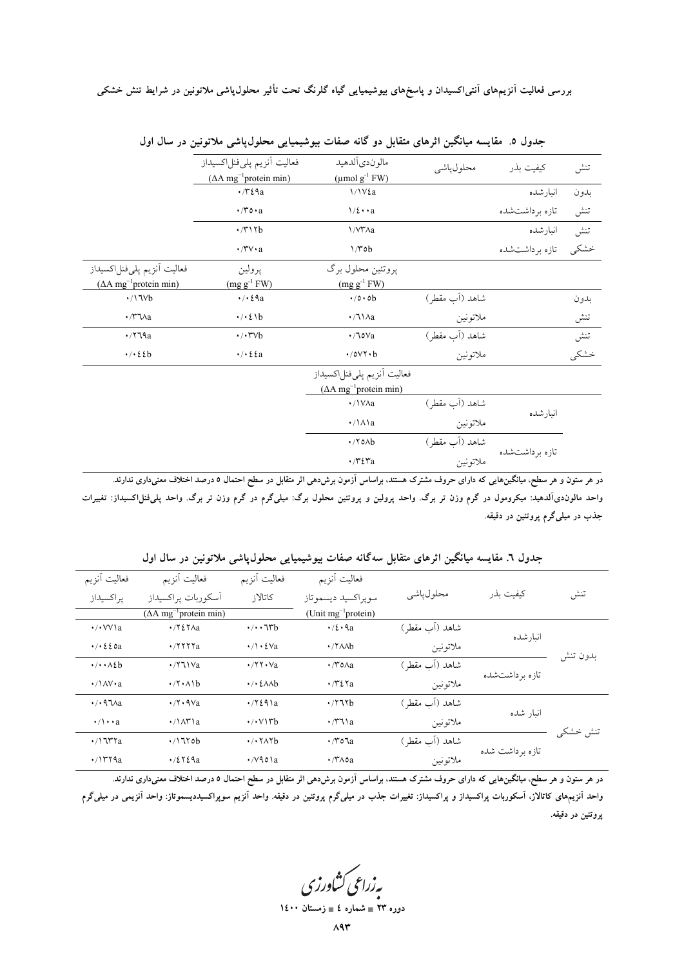بررسی فعالیت آنزیمهای آنتی|کسیدان و پاسخهای بیوشیمیایی گیاه گلرنگ تحت تأثیر محلول¢پشی ملاتونین در شرایط تنش خشکی

|                                      | فعاليت أنزيم پليفنلاكسيداز<br>$( \Delta A mg^{-1}$ protein min) | مالوندي ألدهيد<br>$(\mu \text{mol g}^{-1} \text{FW})$ | محلول پاشي     | كيفيت بذر       | تنش  |
|--------------------------------------|-----------------------------------------------------------------|-------------------------------------------------------|----------------|-----------------|------|
|                                      | $\cdot$ / $\cdot$ $\ell$ a                                      | $1/1V\&a$                                             |                | انبارشده        | بدون |
|                                      | $\cdot$ /٣٥ $\cdot$ a                                           | $1/\xi \cdot \cdot a$                                 |                | تازه برداشتشده  | تنش  |
|                                      | $\cdot$ /۳۱۲b                                                   | 1/V۳Aa                                                |                | انبارشده        | تنش  |
|                                      | $\cdot$ /۳ $v \cdot a$                                          | 1/70b                                                 |                | تازه برداشتشده  | خشكى |
| فعاليت أنزيم پليفنلاكسيداز           | پرولين                                                          | پروتئين محلول برگ                                     |                |                 |      |
| $($ AA mg <sup>-1</sup> protein min) | $(mg g^{-1} F W)$                                               | $(mg g^{-1} FW)$                                      |                |                 |      |
| $\cdot/17Vb$                         | $\cdot$ / $\cdot$ $\epsilon$ ٩a                                 | $\cdot$ /0 $\cdot$ 0 $\mathrm{b}$                     | شاهد (آب مقطر) |                 | بدون |
| $\cdot$ /** $\lambda$ a              | $\cdot/\cdot\,$ { \b                                            | $\cdot/71$ $\wedge$ a                                 | ملاتونين       |                 | تنش  |
| $\cdot$ /۲٦٩a                        | $\cdot/\cdot \text{r}$                                          | $\cdot$ /10 $\vee$ a                                  | شاهد (آب مقطر) |                 | تنش  |
| $\cdot/\cdot\,$ { $\ell$ }           | $\cdot$ / $\cdot$ { {a                                          | $\cdot$ /0 $V\cdot b$                                 | ملاتونين       |                 | خشكى |
|                                      |                                                                 | فعاليت أنزيم پليفنلاكسيداز                            |                |                 |      |
|                                      |                                                                 | $( \Delta A mg^{-1}$ protein min)                     |                |                 |      |
|                                      |                                                                 | ·/\VAa                                                | شاهد (آب مقطر) |                 |      |
|                                      |                                                                 | $\cdot/\lambda a$                                     | ملاتونين       | انبارشده        |      |
|                                      |                                                                 | $\cdot$ / $\circ$ <sub>Ab</sub>                       | شاهد (أب مقطر) | تازه بر داشتشده |      |
|                                      |                                                                 | $\cdot$ / $\gamma$ $\epsilon$ $\mathbf{r}$ a          | ملاتونين       |                 |      |

جدول ٥. مقايسه ميانگين اثرهاي متقابل دو گانه صفات بيوشيميايي محلولپاشي ملاتونين در سال اول

در هر ستون و هر سطح، میانگینهایی که دارای حروف مشترک هستند، براساس آزمون برش۵هی اثر متقابل در سطح احتمال ٥ درصد اختلاف معنیداری ندارند. واحد مالوندیآلدهید: میکرومول در گرم وزن تر برگ. واحد پرولین و پروتئین محلول برگ: میلیگرم در گرم وزن تر برگ. واحد پلیفظراکسیداز: تغییرات جذب در میلیگرم پروتئین در دقیقه.

|          |                  | ٠<br>… ر پ       | ۰۰۰ - سا                                                  | . - J                                                         | - ت ۱۰۰۰ ک                            |                                  |
|----------|------------------|------------------|-----------------------------------------------------------|---------------------------------------------------------------|---------------------------------------|----------------------------------|
|          |                  |                  | فعاليت أنزيم                                              | فعاليت أنزيم                                                  | فعاليت أنزيم                          | فعاليت أنزيم                     |
| تنش      | كيفيت بذر        | محلول پاشي       | سوپراكسيد ديسموتاز                                        | كاتالاز                                                       | أسكوربات يراكسيداز                    | پراكسيداز                        |
|          |                  |                  | (Unit mg <sup>-1</sup> protein)                           |                                                               | $(∆A mg-1 protein min)$               |                                  |
|          |                  | شاهد (آب مقطر)   | $\cdot/2 \cdot 9a$                                        | $\cdot/\cdot\cdot$ 1rb                                        | $\cdot$ /۲٤۲ $\Lambda$ a              | $\cdot$ / $\cdot$ VV \ a         |
| بدون تنش | انىار شدە        | ملاتونين         | $\cdot$ / $\lambda$ <sub>A</sub> b                        | $\cdot/\cdot\cdot\cdot\vee$ a                                 | $\cdot$ /۲۲۲ $a$                      | $\cdot$ / $\cdot$ { { $\circ$ a  |
|          | تاز ه بر داشتشده | شاهد (اَب مقطر ) | $\cdot$ / $\cdot$ 0 $\wedge$ a                            | $\cdot$ /۲۲ $\cdot$ Va                                        | $\cdot$ / $\sqrt{11}$ Va              | $\cdot/\cdot \cdot \wedge \&b$   |
|          |                  | ملاتونين         | $\cdot$ / $\cdot$ $\cdot$ $\cdot$ $\cdot$ $\cdot$ $\cdot$ | $\cdot$ / $\cdot$ { $\wedge\wedge\wedge$ b                    | $\cdot$ /۲ $\cdot$ $\wedge$ $\cdot$ b | $\cdot$ /\AV $\cdot$ a           |
|          | انبار شده        | شاهد (آب مقطر)   | $\cdot$ / $\cdot$ $\cdot$                                 | $\cdot$ /۲٤٩١a                                                | $\cdot$ /۲۰۹ $\vee$ a                 | $\cdot$ / $\cdot$ 97 $\lambda$ a |
| تنش خشکی |                  | ملاتونين         | $\cdot$ /* $\sqrt{2}$                                     | $\cdot$ / $\cdot$ $\vee$ $\uparrow$ b                         | $\cdot/\lambda$ r'a                   | $\cdot/\cdot \cdot a$            |
|          |                  | شاهد (آب مقطر)   | ∙/۳o¶a                                                    | $\cdot$ / $\cdot$ $\uparrow$ $\uparrow$ $\uparrow$ $\uparrow$ | .7170b                                | $\cdot$ /\J۳۲a                   |
|          | تازه برداشت شده  | ملاتونين         | $\cdot$ / $\sim$ $\alpha$                                 | $\cdot$ / $\vee$ 901a                                         | $\cdot$ /٤٢٤٩a                        | $\cdot$ / $\gamma$ r $\alpha$    |
|          |                  |                  |                                                           |                                                               |                                       |                                  |

جدول ٦. مقايسه ميانگين اثرهاي متقابل سهگانه صفات بيوشيميايي محلولپاشي ملاتونين در سال اول

در هر ستون و هر سطح، میانگینهایی که دارای حروف مشترک هستند، براساس آزمون برشدهی اثر متقابل در سطح احتمال ۵ درصد اختلاف معنیداری ندارند. واحد آنزیمهای کاتالاز، آسکوربات پراکسیداز و پراکسیداز: تغییرات جذب در میلیگرم پروتئین در دقیقه. واحد آنزیم سوپراکسیددیسموتاز: واحد آنزیمی در میلیگرم يروتئين در دقيقه.

بەزراعى كشاورزى

دوره ۲۳ ∎ شماره ٤ ∎ زمستان ۱٤۰۰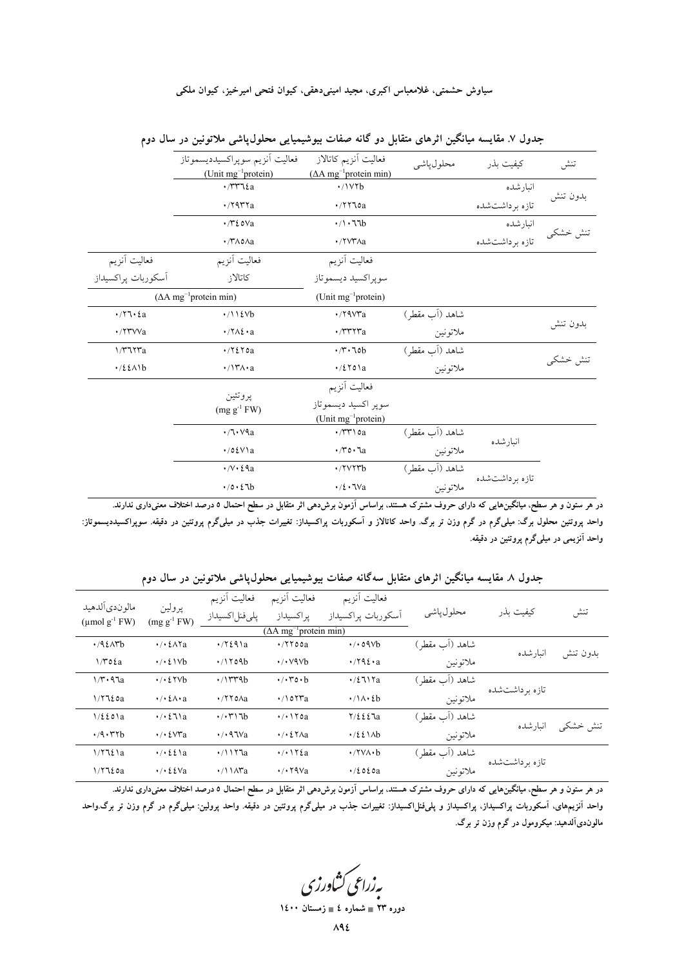#### سیاوش حشمتی، غلامعباس اکبری، مجید امینیدهقی، کیوان فتحی امیرخیز، کیوان ملکی

|                     | فعاليت أنزيم سوپراكسيدديسموتاز<br>(Unit $mg^{-1}$ protein)      | فعاليت أنزيم كاتالاز<br>$(∆A mg-1 protein min)$                | محلول ياشى     | كيفيت بذر        | تنش      |
|---------------------|-----------------------------------------------------------------|----------------------------------------------------------------|----------------|------------------|----------|
|                     | $\cdot$ / $\forall$ $\forall$ $\forall$ $\forall$ $\land$ a     | $\cdot$ /\ $V\tau b$                                           |                | انبارشده         |          |
|                     | $\cdot$ /۲۹۳۲a                                                  | $\cdot$ /۲۲٦٥a                                                 |                | تازه بر داشت شده | بدون تنش |
|                     | $\cdot$ / $\cdot$ / $\cdot$ / $\cdot$ / $\cdot$                 | $\cdot / \cdot 77b$                                            |                | انبارشده         | تنش خشكى |
|                     | $\cdot$ / $\wedge$ $\wedge$ $\wedge$ $\wedge$ $\wedge$ $\wedge$ | ·/ YVYAa                                                       |                | تازه بر داشت شده |          |
| فعاليت أنزيم        | فعاليت أنزيم                                                    | فعاليت أنزيم                                                   |                |                  |          |
| اَسكوربات پراكسيداز | كاتالاز                                                         | سوپراکسيد ديسموتاز                                             |                |                  |          |
|                     | $( \Delta A mg^{-1}$ protein min)                               | (Unit mg <sup>-1</sup> protein)                                |                |                  |          |
|                     | $\cdot/11$ (Vb                                                  | $\cdot$ /۲۹۷۳a                                                 | شاهد (آب مقطر) |                  |          |
| ·/۲۳VVa             | $\cdot$ /۲ $\wedge$ ε $\cdot$ a                                 | $\cdot$ / $\mathsf{r}\mathsf{r}\mathsf{r}\mathsf{r}\mathsf{a}$ | ملاتونين       |                  | بدون تنش |
| 1/٣٦٢٣a             | $\cdot$ / $\zeta$ $\zeta$ $\zeta$ $\zeta$                       | $\cdot$ $\uparrow$ $\cdot$ $\uparrow$ 0b                       | شاهد (آب مقطر) |                  |          |
| $\cdot$ /2211b      | $\cdot$ /\ $\mathsf{Y}\wedge\cdot\mathsf{a}$                    | $\cdot$ /٤٢٥١a                                                 | ملاتونين       |                  | تنش خشكى |
|                     |                                                                 | فعاليت أنزيم                                                   |                |                  |          |
|                     | پروتئين<br>$(mg g^{-1} F W)$                                    | سوپر اکسید دیسموتاز<br>(Unit mg <sup>-1</sup> protein)         |                |                  |          |
|                     | $\cdot$ /٦ $\cdot$ $\vee$ ۹a                                    | $\cdot$ / $\uparrow\uparrow\uparrow$ \ $\circ$ a               | شاهد (آب مقطر) | انبارشده         |          |
|                     | $\cdot$ /0٤ $V$ a                                               | $\cdot$ /۳٥ $\cdot$ ٦a                                         | ملاتونين       |                  |          |
|                     | $\cdot/\sqrt{v} \cdot \xi$ ۹a                                   | $\cdot$ /۲۷۲۳ $b$                                              | شاهد (آب مقطر) |                  |          |
|                     | $\cdot$ /0 $\cdot$ 2 7b                                         | $\cdot/2 \cdot \text{TVa}$                                     | ملاتونين       | تازه برداشتشده   |          |

جدول ۷. مقایسه میانگین اثرهای متقابل دو گانه صفات بیوشیمیایی محلول،پاشی ملاتونین در سال دوم

در هر ستون و هر سطح، میانگینهایی که دارای حروف مشترک هستند، براساس آزمون برشدهی اثر متقابل در سطح احتمال ٥ درصد اختلاف معنیداری ندارند. واحد پروتئین محلول برگ: میلیگرم در گرم وزن تر برگ. واحد کاتالاز و آسکوربات پراکسیداز: تغییرات جذب در میلیگرم پروتئین در دقیقه. سوپراکسیددیسموتاز: واحد آنزیمی در میلیگرم پروتئین در دقیقه.

|          |                  | ـَ ب             | ٠                                  |                                                                                | پ س                            |                                         |                                                       |
|----------|------------------|------------------|------------------------------------|--------------------------------------------------------------------------------|--------------------------------|-----------------------------------------|-------------------------------------------------------|
| تنش      | كىفىت ىذر        | محلول ياشى       | فعاليت أنزيم<br>أسكوربات پراكسيداز | فعاليت أنزيم<br>پراكسيداز<br>$( \Delta A \text{ mg}^{-1} \text{protein min} )$ | فعاليت أنزيم<br>پلىفنلاكسيداز  | پرولين<br>$(mg g^{-1} F W)$             | مالوندي ألدهيد<br>$(\mu \text{mol g}^{-1} \text{FW})$ |
|          |                  | شاهد (آب مقطر)   | $\cdot$ / $\cdot$ 09 $\vee$ b      | $\cdot$ /۲۲٥٥a                                                                 | $\cdot$ / $\frac{24}{a}$       | $\cdot$ / $\cdot$ { $\wedge$ Ya         | $.792$ $N$                                            |
| بدون تنش | انبارشده         | ملاتونين         | $\cdot$ /۲۹٤ $\cdot$ a             | $\cdot$ / $\cdot$ $\vee$ ۹ $\vee$ b                                            | $\cdot$ /1709b                 | $\cdot$ / $\cdot$ { \Vb                 | $1/\mathcal{r}$ o $\mathcal{E}a$                      |
|          |                  | شاهد (اَب مقطر ) | $\cdot$ /2717a                     | $\cdot$ / $\cdot$ ro $\cdot$ b                                                 | $\cdot$ / $\uparrow$ rrab      | $\cdot$ / $\cdot$ {YVb                  | $1/r \cdot 97a$                                       |
|          | تاز ه بر داشتشده | ملاتونين         | $\cdot/\lambda \cdot 2b$           | $\cdot$ /107 $a$                                                               | $\cdot$ /۲۲٥ $\Lambda$ a       | $\cdot$ / $\cdot$ { $\wedge \cdot$ a    | 1/7720a                                               |
|          |                  | شاهد (آب مقطر)   | $Y/\xi \xi \xi$ la                 | $\cdot$ / $\cdot$ $\cdot$                                                      | $\cdot$ / $\cdot$ ۳۱۶b         | $\cdot$ / $\cdot$ { $\lambda$ \ a       | $1/\xi \xi$ o $a$                                     |
| تنش خشکی | انبارشده         | ملاتونين         | $\cdot$ /2211b                     | $\cdot$ / $\cdot$ { $\forall$ $\land$ a                                        | $\cdot$ / $\cdot$ 9.1 $\vee$ a | $\cdot$ / $\cdot$ { $\vee$ ra           | .4.77b                                                |
|          |                  | شاهد (آب مقطر)   | $\cdot$ /۲۷ $\wedge$ $\cdot$ b     | $\cdot$ / $\cdot$ $\cdot$ $\cdot$ $\cdot$ $\cdot$ $\cdot$ $\cdot$              | $\cdot$ /1177a                 | $\cdot/\cdot\,$ { $\lambda$ \ a         | 1/7721a                                               |
|          | تازه برداشتشده   | ملاتونين         | $\cdot$ /2020a                     | $\cdot$ / $\cdot$ $79$ Va                                                      |                                | $\cdot$ / $\cdot$ { $\epsilon$ $\vee$ a | 1/7720a                                               |

جدول ٨ مقايسه ميانگين اثرهاي متقابل سهگانه صفات بيوشيميايي محلول،پاشي ملاتونين در سال دوم

در هر ستون و هر سطح، میانگینهایی که دارای حروف مشترک هستند. براساس آزمون برشدهی اثر متقابل در سطح احتمال ۵ درصد اختلاف معنیداری ندارند. واحد آنزیمهای، آسکوربات پراکسیداز، پراکسیداز و پلیفنل|کسیداز: تغییرات جذب در میلیگرم پروتین در دقیقه. واحد پرولین: میلیگرم در گرم وزن تر برگ.واحد مالوندیآلدهید: میکرومول در گرم وزن تر برگ.

بەزراعى كشاورزى

دوره ۲۳ ∎ شماره ٤ ∎ زمستان ۱٤۰۰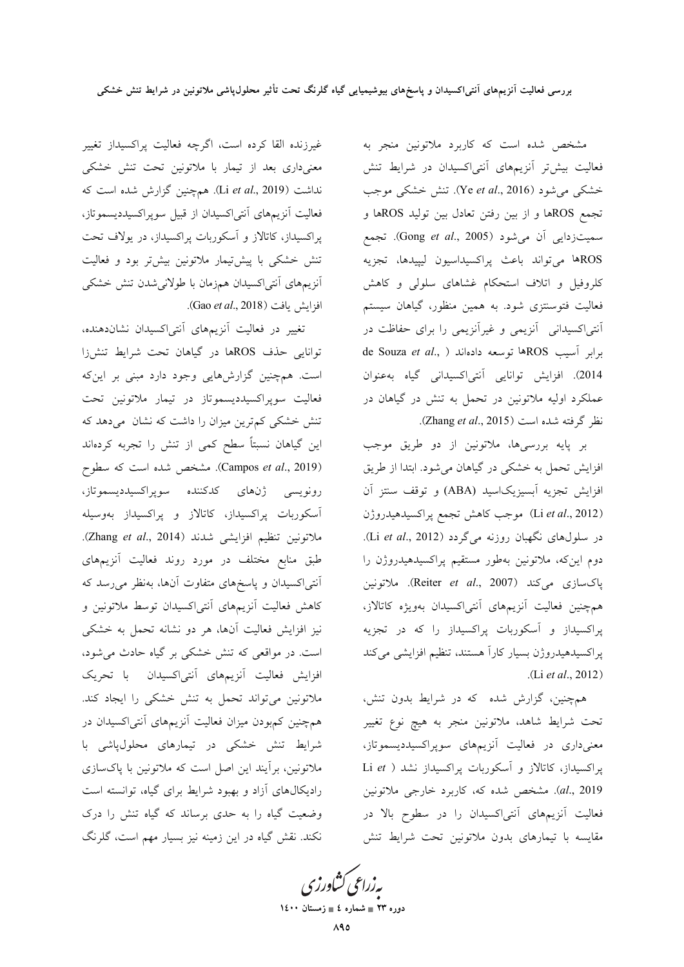مشخص شده است که کاربرد ملاتونین منجر به فعالیت بیشتر آنزیمهای آنتی اکسیدان در شرایط تنش خشکی می شود (Ye et al., 2016). تنش خشکی موجب تجمع ROSها و از بين رفتن تعادل بين توليد ROSها و سميتزدايي أن مي شود (Gong et al., 2005). تجمع ROSها مى تواند باعث پراكسيداسيون ليپيدها، تجزيه کلروفیل و اتلاف استحکام غشاهای سلولی و کاهش فعالیت فتوسنتزی شود. به همین منظور، گیاهان سیستم أنتی|کسیدانی آنزیمی و غیرآنزیمی را برای حفاظت در de Souza et al., ) برابر آسيب ROSها توسعه دادهاند ( 2014). افزایش توانایی آنتی اکسیدانی گیاه بهعنوان عملکرد اولیه ملاتونین در تحمل به تنش در گیاهان در نظر گرفته شده است (Zhang et al., 2015).

بر پایه بررسیها، ملاتونین از دو طریق موجب افزایش تحمل به خشکی در گیاهان میشود. ابتدا از طریق افزایش تجزیه آبسیزیکاسید (ABA) و توقف سنتز آن (Li et al., 2012) موجب كاهش تجمع پراكسيدهيدروژن در سلولهای نگهبان روزنه میگردد (Li et al., 2012). دوم اینکه، ملاتونین بهطور مستقیم پراکسیدهیدروژن را پاکسازی میکند (Reiter et al., 2007). ملاتونین همچنین فعالیت آنزیمهای آنتیاکسیدان بهویژه کاتالاز، پراکسیداز و آسکوربات پراکسیداز را که در تجزیه پراکسیدهیدروژن بسیار کاراً هستند، تنظیم افزایشی میکند .(Li et al., 2012)

همچنین، گزارش شده که در شرایط بدون تنش، تحت شرايط شاهد، ملاتونين منجر به هيچ نوع تغيير معنیداری در فعالیت آنزیمهای سوپراکسیددیسموتاز، پراکسیداز، کاتالاز و آسکوربات پراکسیداز نشد ( Li et al., 2019). مشخص شده که، کاربرد خارجی ملاتونین فعالیت آنزیمهای آنتیاکسیدان را در سطوح بالا در مقايسه با تيمارهاى بدون ملاتونين تحت شرايط تنش

غیرزنده القا کرده است، اگرچه فعالیت پراکسیداز تغییر معنیداری بعد از تیمار با ملاتونین تحت تنش خشکی نداشت (Li et al., 2019). همچنین گزارش شده است که فعالیت آنزیمهای آنتی|کسیدان از قبیل سوپر|کسیددیسموتاز، پراکسیداز، کاتالاز و آسکوربات پراکسیداز، در یولاف تحت تنش خشکی با پیشتیمار ملاتونین بیشتر بود و فعالیت أنزيمهاى أنتى اكسيدان همزمان با طولانى شدن تنش خشكى افزايش يافت (Gao et al., 2018).

تغییر در فعالیت آنزیمهای آنتی|کسیدان نشاندهنده، توانایی حذف ROSها در گیاهان تحت شرایط تنشiزا است. همچنین گزارشهایی وجود دارد مبنی بر اینکه فعالیت سوپراکسیددیسموتاز در تیمار ملاتونین تحت تنش خشکی کمترین میزان را داشت که نشان می دهد که این گیاهان نسبتاً سطح کمی از تنش را تجربه کردهاند (Campos et al., 2019). مشخص شده است که سطوح رونويسى ژنهاى كدكننده سوپراكسيدديسموتاز، آسکوربات پراکسیداز، کاتالاز و پراکسیداز بهوسیله ملاتونين تنظيم افزايشي شدند (Zhang et al., 2014). طبق منابع مختلف در مورد روند فعالیت آنزیمهای آنتی|کسیدان و پاسخهای متفاوت آنها، بهنظر می رسد که کاهش فعالیت آنزیمهای آنتی|کسیدان توسط ملاتونین و نیز افزایش فعالیت آنها، هر دو نشانه تحمل به خشکی است. در مواقعی که تنش خشکی بر گیاه حادث می شود، افزایش فعالیت آنزیمهای آنتی|کسیدان با تحریک ملاتونین می تواند تحمل به تنش خشکی را ایجاد کند. همچنین کمبودن میزان فعالیت آنزیمهای آنتی|کسیدان در شرایط تنش خشکی در تیمارهای محلولپاشی با ملاتونین، برأیند این اصل است که ملاتونین با پاکسازی رادیکالهای آزاد و بهبود شرایط برای گیاه، توانسته است وضعیت گیاه را به حدی برساند که گیاه تنش را درک نکند. نقش گیاه در این زمینه نیز بسیار مهم است، گلرنگ

یه زراعی کشاورزی

دوره ۲۳ ∎ شماره ٤ ∎ زمستان ۱٤۰۰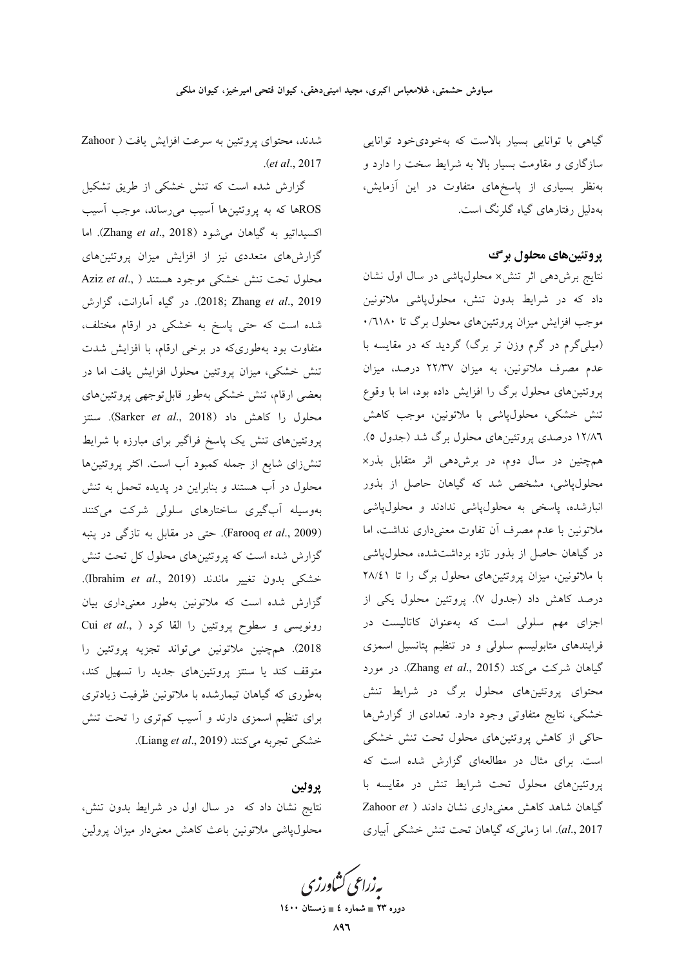گیاهی با توانایی بسیار بالاست که بهخودیخود توانایی سازگاری و مقاومت بسیار بالا به شرایط سخت را دارد و بهنظر بسیاری از پاسخهای متفاوت در این آزمایش، بهدلیل رفتارهای گیاه گلرنگ است.

#### پروتئینهای محلول برگ

نتایج برشدهی اثر تنش× محلول پاشی در سال اول نشان داد که در شرایط بدون تنش، محلولپاشی ملاتونین موجب افزایش میزان پروتئینهای محلول برگ تا ۱۸۰\۰. (میلی گرم در گرم وزن تر برگ) گردید که در مقایسه با عدم مصرف ملاتونین، به میزان ۲۲٬۳۷ درصد، میزان پروتئینهای محلول برگ را افزایش داده بود، اما با وقوع تنش خشکی، محلول،پاشی با ملاتونین، موجب کاهش ۱۲/۸٦ درصدی پروتئینهای محلول برگ شد (جدول ٥). همچنین در سال دوم، در برشدهی اثر متقابل بذر× محلولپاشی، مشخص شد که گیاهان حاصل از بذور انبارشده، پاسخی به محلولپاشی ندادند و محلولپاشی ملاتونین با عدم مصرف آن تفاوت معنیداری نداشت، اما در گیاهان حاصل از بذور تازه برداشتشده، محلول،پاشی با ملاتونین، میزان پروتئینهای محلول برگ را تا ۲۸/٤۱ درصد كاهش داد (جدول ۷). پروتئين محلول يكي از اجزای مهم سلولی است که بهعنوان کاتالیست در فرایندهای متابولیسم سلولی و در تنظیم پتانسیل اسمزی گیاهان شرکت میکند (Zhang et al., 2015). در مورد محتوای پروتئینهای محلول برگ در شرایط تنش خشکی، نتایج متفاوتی وجود دارد. تعدادی از گزارشها حاکی از کاهش پروتئینهای محلول تحت تنش خشکی است. برای مثال در مطالعهای گزارش شده است که پروتئینهای محلول تحت شرایط تنش در مقایسه با گیاهان شاهد کاهش معنی داری نشان دادند ( Zahoor et al., 2017). اما زمانی که گیاهان تحت تنش خشکی آبیاری

شدند، محتوای پروتئین به سرعت افزایش یافت ( Zahoor  $. (et al., 2017)$ 

گزارش شده است که تنش خشکی از طریق تشکیل ROSها که به پروتئینها آسیب میرساند، موجب آسیب اكسيداتيو به گياهان مي شود (Zhang et al., 2018). اما گزارشهای متعددی نیز از افزایش میزان پروتئینهای Aziz et al., ) محلول تحت تنش خشکی موجود هستند 2019). در گیاه آمارانت، گزارش شده است که حتی پاسخ به خشکی در ارقام مختلف، متفاوت بود بهطوریکه در برخی ارقام، با افزایش شدت تنش خشکی، میزان پروتئین محلول افزایش یافت اما در بعضي ارقام، تنش خشكي بهطور قابل توجهي پروتئينهاي محلول را كاهش داد (Sarker et al., 2018). سنتز پروتئینهای تنش یک پاسخ فراگیر برای مبارزه با شرایط تنشزای شایع از جمله کمبود آب است. اکثر پروتئینها محلول در آب هستند و بنابراین در یدیده تحمل به تنش بەوسىلە آبگىرى ساختارھاي سلولى شركت مى كنند (Farooq et al., 2009). حتى در مقابل به تازگى در پنبه گزارش شده است که پروتئینهای محلول کل تحت تنش خشکی بدون تغییر ماندند (Ibrahim et al., 2019). گزارش شده است که ملاتونین بهطور معنیداری بیان Cui et al., ) رونویسی و سطوح پروتئین را القا کرد 2018). همچنین ملاتونین میتواند تجزیه پروتئین را متوقف کند یا سنتز پروتئینهای جدید را تسهیل کند، بهطوری که گیاهان تیمارشده با ملاتونین ظرفیت زیادتری برای تنظیم اسمزی دارند و آسیب کمتری را تحت تنش خشکی تجربه می کنند (Liang et al., 2019).

#### يرولين

نتایج نشان داد که در سال اول در شرایط بدون تنش، محلول پاشی ملاتونین باعث کاهش معنیدار میزان پرولین

بەزراعى كشاورزى

دوره ۲۳ = شماره ٤ = زمستان ۱٤۰۰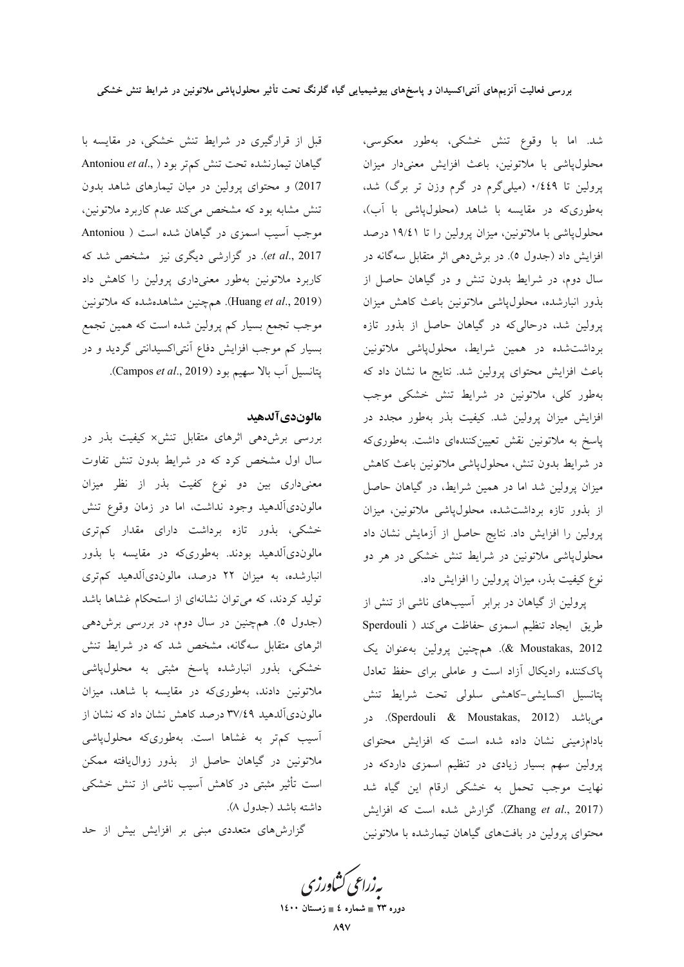قبل از قرارگیری در شرایط تنش خشکی، در مقایسه با گیاهان تیمارنشده تحت تنش کمتر بود ( ,.Antoniou et al 2017) و محتوای پرولین در میان تیمارهای شاهد بدون تنش مشابه بود که مشخص میکند عدم کاربرد ملاتونین، موجب آسیب اسمزی در گیاهان شده است ( Antoniou et al., 2017). در گزارشی دیگری نیز مشخص شد که کاربرد ملاتونین بهطور معنیداری پرولین را کاهش داد (Huang et al., 2019). همچنین مشاهدهشده که ملاتونین موجب تجمع بسیار کم پرولین شده است که همین تجمع بسیار کم موجب افزایش دفاع آنتی اکسیدانتی گردید و در يتانسيل أب بالا سهيم بود (Campos et al., 2019).

#### مالوندىآلدهيد

بررسی برش دهی اثرهای متقابل تنش× کیفیت بذر در سال اول مشخص کرد که در شرایط بدون تنش تفاوت معنیداری بین دو نوع کفیت بذر از نظر میزان مالوندیآلدهید وجود نداشت، اما در زمان وقوع تنش خشکی، بذور تازه برداشت دارای مقدار کمتری مالوندیآلدهید بودند. بهطوریکه در مقایسه با بذور انبارشده، به میزان ۲۲ درصد، مالوندیآلدهید کمتری تولید کردند، که میتوان نشانهای از استحکام غشاها باشد (جدول ٥). همچنین در سال دوم، در بررسی برش(هی اثرهای متقابل سهگانه، مشخص شد که در شرایط تنش خشکی، بذور انبارشده پاسخ مثبتی به محلولپاشی ملاتونین دادند، بهطوریکه در مقایسه با شاهد، میزان مالوندیآلدهید ۳۷/٤۹ درصد کاهش نشان داد که نشان از آسیب کم تر به غشاها است. بهطوریکه محلولپاشی ملاتونین در گیاهان حاصل از بذور زوال $e$ یافته ممکن است تأثیر مثبتی در کاهش آسیب ناشی از تنش خشکی داشته باشد (جدول ۸).

گزارشهای متعددی مبنی بر افزایش بیش از حد

شد. اما با وقوع تنش خشکی، بهطور معکوسی، محلولپاشی با ملاتونین، باعث افزایش معنیدار میزان پرولین تا ۰/٤٤٩ (میلیگرم در گرم وزن تر برگ) شد. بهطوریکه در مقایسه با شاهد (محلولپاشی با آب)، محلول،پاشی با ملاتونین، میزان پرولین را تا ۱۹/٤۱ درصد افزایش داد (جدول ٥). در برشدهی اثر متقابل سهگانه در سال دوم، در شرایط بدون تنش و در گیاهان حاصل از بذور انبارشده، محلولپاشی ملاتونین باعث کاهش میزان پرولین شد، درحالیکه در گیاهان حاصل از بذور تازه برداشت شده در همین شرایط، محلولپاشی ملاتونین باعث افزایش محتوای پرولین شد. نتایج ما نشان داد که بهطور کلی، ملاتونین در شرایط تنش خشکی موجب افزایش میزان پرولین شد. کیفیت بذر بهطور مجدد در پاسخ به ملاتونین نقش تعیینکنندهای داشت. بهطوریکه در شرایط بدون تنش، محلولپاشی ملاتونین باعث کاهش میزان پرولین شد اما در همین شرایط، در گیاهان حاصل از بذور تازه برداشتشده، محلول،پاشی ملاتونین، میزان پرولین را افزایش داد. نتایج حاصل از آزمایش نشان داد محلولپاشی ملاتونین در شرایط تنش خشکی در هر دو نوع کیفیت بذر، میزان پرولین را افزایش داد.

پرولین از گیاهان در برابر آسیبهای ناشی از تنش از طريق ايجاد تنظيم اسمزى حفاظت مىكند ( Sperdouli 8 Moustakas, 2012). همچنین پرولین به عنوان یک پاککننده رادیکال آزاد است و عاملی برای حفظ تعادل پتانسیل اکسایشی-کاهشی سلولی تحت شرایط تنش می باشد (Sperdouli & Moustakas, 2012). در بادامزمینی نشان داده شده است که افزایش محتوای پرولین سهم بسیار زیادی در تنظیم اسمزی داردکه در نهایت موجب تحمل به خشکی ارقام این گیاه شد (Zhang et al., 2017). گزارش شده است که افزایش محتوای پرولین در بافتهای گیاهان تیمارشده با ملاتونین

<mark>ىه زراعى ڭناورز</mark>ى

دوره ۲۳ = شماره ٤ = زمستان ۱٤۰۰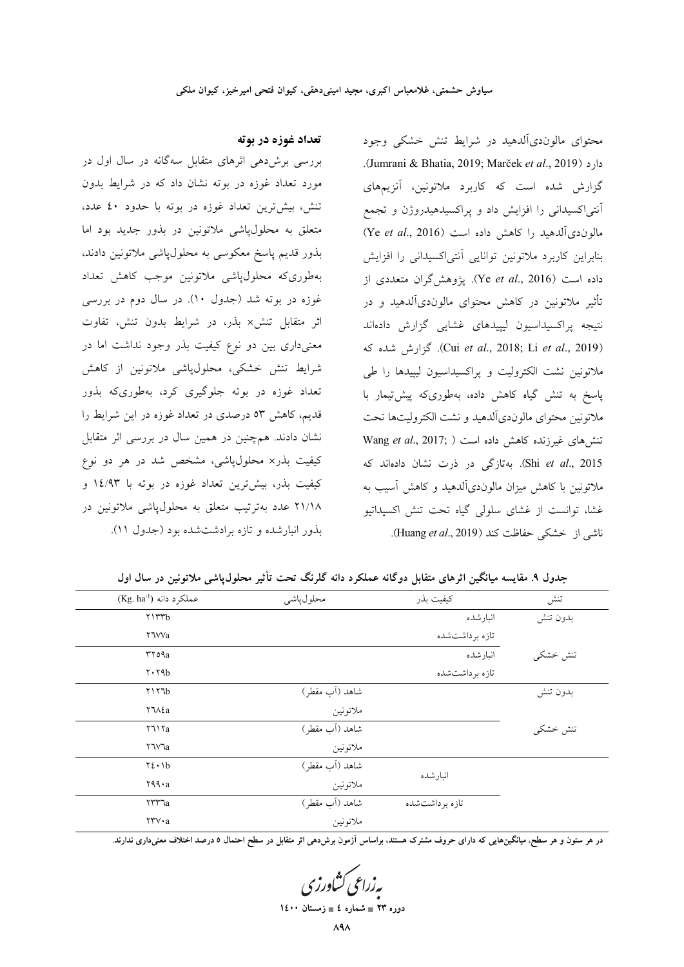### تعداد غوزه در بوته

بررسی برشدهی اثرهای متقابل سهگانه در سال اول در مورد تعداد غوزه در بوته نشان داد که در شرایط بدون تنش، بیش ترین تعداد غوزه در بوته با حدود ٤٠ عدد، متعلق به محلولپاشی ملاتونین در بذور جدید بود اما بذور قدیم پاسخ معکوسی به محلولپاشی ملاتونین دادند، بهطورىكه محلول،پاشى ملاتونين موجب كاهش تعداد غوزه در بوته شد (جدول ۱۰). در سال دوم در بررسی اثر متقابل تنش× بذر، در شرایط بدون تنش، تفاوت معنیداری بین دو نوع کیفیت بذر وجود نداشت اما در شرایط تنش خشکی، محلولپاشی ملاتونین از کاهش تعداد غوزه در بوته جلوگیری کرد، بهطوریکه بذور قدیم، کاهش ٥٣ درصدی در تعداد غوزه در این شرایط را نشان دادند. همچنین در همین سال در بررسی اثر متقابل کیفیت بذر× محلولپاشی، مشخص شد در هر دو نوع کیفیت بذر، بیشترین تعداد غوزه در بوته با ۱٤/۹۳ و ۲۱/۱۸ عدد بهترتیب متعلق به محلولپاشی ملاتونین در بذور انبارشده و تازه برادشتشده بود (جدول ١١).

محتوای مالون دیآلدهید در شرایط تنش خشکی وجود .(Jumrani & Bhatia, 2019; Marček et al., 2019). گزارش شده است که کاربرد ملاتونین، آنزیمهای آنتی|کسیدانی را افزایش داد و پراکسیدهیدروژن و تجمع مالون دي آلدهيد را كاهش داده است (Ye et al., 2016) بنابراین کاربرد ملاتونین توانایی آنتی اکسیدانی را افزایش داده است (Ye et al., 2016). يژوهش گران متعددي از تأثیر ملاتونین در کاهش محتوای مالوندیآلدهید و در نتیجه پراکسیداسیون لیپیدهای غشایی گزارش دادهاند (Cui et al., 2018; Li et al., 2019). گزارش شده که ملاتونین نشت الکترولیت و پراکسیداسیون لیپیدها را طی پاسخ به تنش گیاه کاهش داده، بهطوریکه پیشتیمار با ملاتونین محتوای مالوندیآلدهید و نشت الکترولیتها تحت تنشهای غیرزنده کاهش داده است ( Wang et al., 2017; Shi et al., 2015). بهتازگی در ذرت نشان دادهاند که ملاتونین با کاهش میزان مالوندیآلدهید و کاهش آسیب به غشا، توانست از غشای سلولی گیاه تحت تنش اکسیداتیو ناشي از خشكى حفاظت كند (Huang et al., 2019).

جدول ۹. مقایسه میانگین اثرهای متقابل دوگانه عملکرد دانه گلرنگ تحت تأثیر محلول یاشی ملاتونین در سال اول

| تنش      | كيفيت بذر      | محلول پاشى     | $(Kg. ha^{-1})$ عملكرد دانه       |
|----------|----------------|----------------|-----------------------------------|
| بدون تنش | انبارشده       |                | Y1rrb                             |
|          | تازه برداشتشده |                | <b>Y'Wa</b>                       |
| تنش خشكى | انبارشده       |                | rroaa                             |
|          | تازه برداشتشده |                | $Y \cdot Y4b$                     |
| بدون تنش |                | شاهد (آب مقطر) | Y1Y7b                             |
|          |                | ملاتونين       | ۲٦Λ٤a                             |
| تنش خشکی |                | شاهد (آب مقطر) | Y7117a                            |
|          |                | ملاتونين       | ۲٦۷٦a                             |
|          |                | شاهد (آب مقطر) | $Y\S \cdot Yb$                    |
|          | انبارشده       | ملاتونين       | $494 \cdot a$                     |
|          | تازه برداشتشده | شاهد (آب مقطر) | <b>Trra</b>                       |
|          |                | ملاتونين       | $\forall \forall \forall \cdot a$ |
|          |                |                |                                   |

در هر ستون و هر سطح، میانگینهایی که دارای حروف مشترک هستند، براساس آزمون برشدهی اثر متقابل در سطح احتمال ٥ درصد اختلاف معنیداری ندارند.

دوره ۲۳ = شماره ٤ = زمستان ۱٤۰۰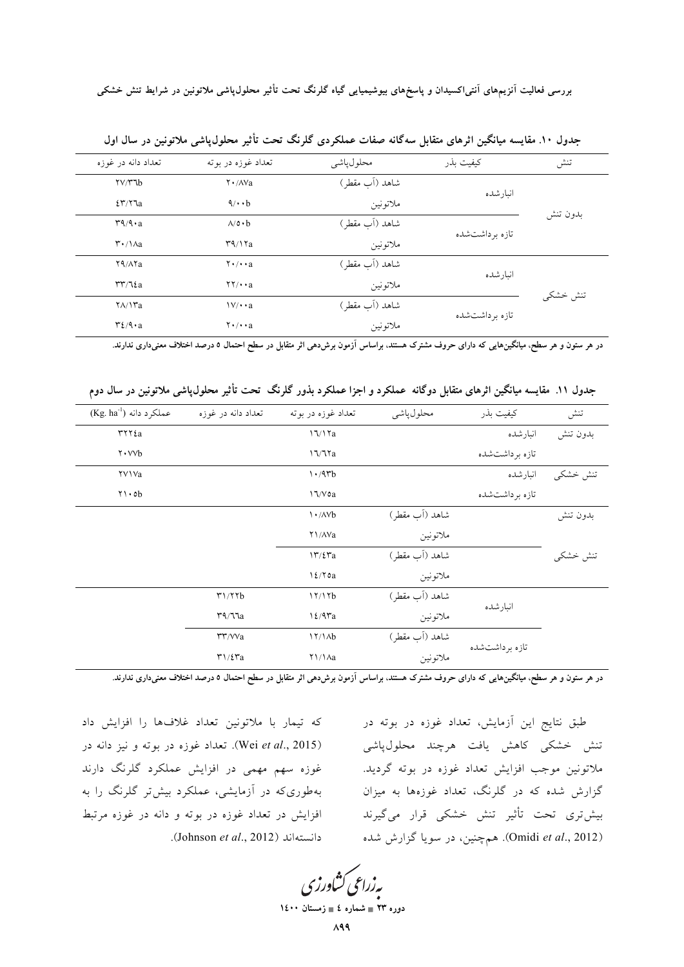| تعداد دانه در غوزه               | تعداد غوزه در يوته                               | محلول ياشى     | كيفيت بذر         | تنش      |  |
|----------------------------------|--------------------------------------------------|----------------|-------------------|----------|--|
| $\gamma \gamma \gamma b$         | $\mathsf{Y} \cdot / \mathsf{A} \mathsf{Va}$      | شاهد (آب مقطر) | انىار شدە         |          |  |
| 25/77a                           | $4/\cdot \cdot b$                                | ملاتونين       |                   |          |  |
| $r_1/4 \cdot a$                  | $\Lambda/\mathfrak{0}\cdot\mathfrak{b}$          | شاهد (آب مقطر) | تازه بر داشتشده   | بدون تنش |  |
| $\mathsf{r} \cdot / \mathsf{a}$  | $\mathsf{r}\mathsf{q}\wedge\mathsf{r}\mathsf{a}$ | ملاتونين       |                   |          |  |
| Y9/AYa                           | $\mathbf{Y} \cdot / \cdot \cdot \mathbf{a}$      | شاهد (آب مقطر) | انىار شدە         |          |  |
| $rr/7\epsilon a$                 | $\mathbf{Y} \mathbf{Y} / \mathbf{A}$             | ملاتونين       |                   |          |  |
| $\frac{1}{\sqrt{2}}$             | $\frac{1}{\sqrt{4}}$                             | شاهد (آب مقطر) | تاز ه بر داشت شده | تنش خشکی |  |
| $\mathcal{L}/\mathcal{A}\cdot a$ | $\mathbf{Y} \cdot / \cdot \cdot \mathbf{a}$      | ملاتونين       |                   |          |  |

جدول ۱۰. مقایسه میانگین اثرهای متقابل سهگانه صفات عملکردی گلرنگ تحت تأثیر محلول،یاشی ملاتونین در سال اول

در هر ستون و هر سطح، میانگینهایی که دارای حروف مشترک هستند. براساس آزمون برشدهی اثر متقابل در سطح احتمال ٥ درصد اختلاف معنیداری ندارند.

جدول ۱۱. مقایسه میانگین اثرهای متقابل دوگانه عملکرد و اجزا عملکرد بذور گلرنگ تحت تأثیر محلول،پاشی ملاتونین در سال دوم

| $(Kg. ha^{-1})$ عملکر د دانه                        | تعداد دانه در غوزه                                        | تعداد غوزه در بوته          | محلول ياشى     | كيفيت بذر       | تنش      |
|-----------------------------------------------------|-----------------------------------------------------------|-----------------------------|----------------|-----------------|----------|
| rrrtta                                              |                                                           | 17/17a                      |                | انبارشده        | بدون تنش |
| $\mathsf{Y} \cdot \mathsf{V} \mathsf{V} \mathsf{b}$ |                                                           | 17/77a                      |                | تازه بر داشتشده |          |
| <b>YVIVa</b>                                        |                                                           | $1.4$ rb                    |                | انبارشده        | تنش خشکی |
| $Y \cup ob$                                         |                                                           | 17/Voa                      |                | تازه برداشتشده  |          |
|                                                     |                                                           | $\cdot$ / $\wedge$ $\vee$ b | شاهد (آب مقطر) |                 | بدون تنش |
|                                                     |                                                           | Y \/ / Va                   | ملاتونين       |                 |          |
|                                                     |                                                           | 17/27a                      | شاهد (آب مقطر) |                 | تنش خشكى |
|                                                     |                                                           | 12/70a                      | ملاتونين       |                 |          |
|                                                     | T1/TYb                                                    | 17/17b                      | شاهد (آب مقطر) | انىار شدە       |          |
|                                                     | $\mathsf{r}\mathsf{q}/\mathsf{q}\mathsf{q}$               | $12/9$ ra                   | ملاتونين       |                 |          |
|                                                     | $\mathsf{r}\mathsf{r}$ / $\mathsf{v}\mathsf{v}\mathsf{a}$ | 17/1Ab                      | شاهد (آب مقطر) |                 |          |
|                                                     | $\mathbf{r}\mathbf{1}/\mathbf{\mathcal{E}}\mathbf{r}$ a   | $\frac{1}{\sqrt{2}}$        | ملاتونين       | تازه برداشتشده  |          |

در هر ستون و هر سطح، میانگینهایی که دارای حروف مشترک هستند. براساس آزمون برشدهی اثر متقابل در سطح احتمال ٥ درصد اختلاف معنیداری ندارند.

که تیمار با ملاتونین تعداد غلافها را افزایش داد Wei et al., 2015). تعداد غوزه در بوته و نيز دانه در غوزه سهم مهمی در افزایش عملکرد گلرنگ دارند بهطوری که در آزمایشی، عملکرد بیش تر گلرنگ را به افزایش در تعداد غوزه در بوته و دانه در غوزه مرتبط دانستهاند (Johnson et al., 2012).

طبق نتایج این آزمایش، تعداد غوزه در بوته در تنش خشکی کاهش یافت هرچند محلولپاشی ملاتونين موجب افزايش تعداد غوزه در بوته گرديد. گزارش شده که در گلرنگ، تعداد غوزهها به میزان بیش تری تحت تأثیر تنش خشکی قرار میگیرند (Omidi et al., 2012). همچنین، در سویا گزارش شده

بەزراعى كشاورزى دوره ۲۳ ∎ شماره ٤ ∎ زمستان ۱٤۰۰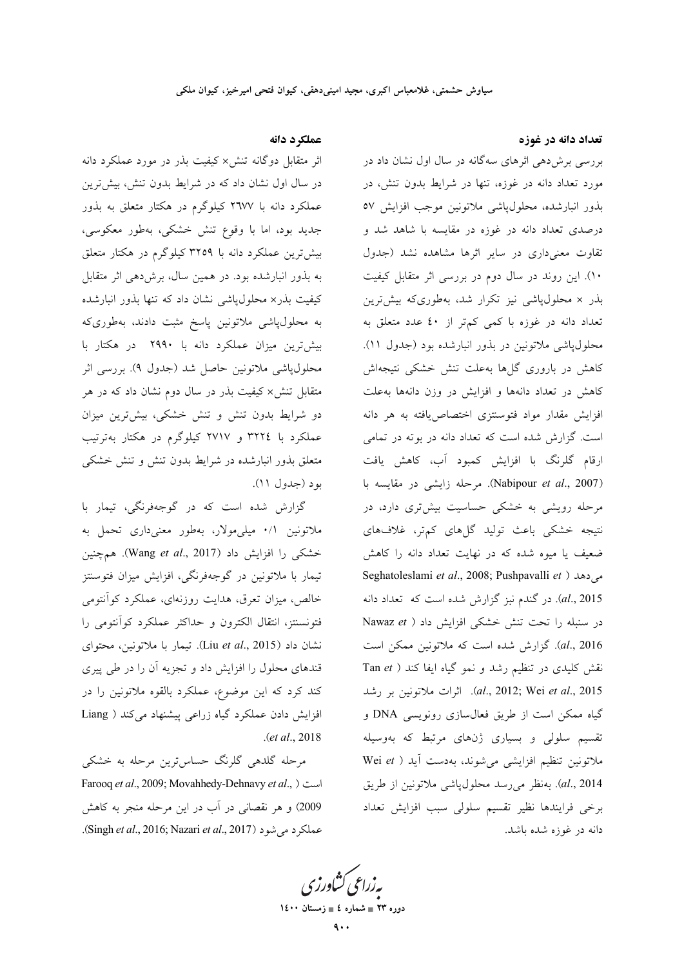تعداد دانه در غوزه

بررسی برشدهی اثرهای سهگانه در سال اول نشان داد در مورد تعداد دانه در غوزه، تنها در شرایط بدون تنش، در بذور انبارشده، محلول پاشی ملاتونین موجب افزایش ٥٧ درصدی تعداد دانه در غوزه در مقایسه با شاهد شد و تقاوت معنى دارى در ساير اثرها مشاهده نشد (جدول ۱۰). این روند در سال دوم در بررسی اثر متقابل کیفیت بذر × محلولپاشی نیز تکرار شد، بهطوریکه بیشترین تعداد دانه در غوزه با کمی کمتر از ٤٠ عدد متعلق به محلول،پاشی ملاتونین در بذور انبارشده بود (جدول ۱۱). کاهش در باروری گلها بهعلت تنش خشکی نتیجهاش کاهش در تعداد دانهها و افزایش در وزن دانهها به علت افزایش مقدار مواد فتوسنتزی اختصاص یافته به هر دانه است. گزارش شده است که تعداد دانه در بوته در تمامی ارقام گلرنگ با افزایش کمبود آب، کاهش یافت (Nabipour et al., 2007). مرحله زایشی در مقایسه با مرحله رویشی به خشکی حساسیت بیشتری دارد، در نتیجه خشکی باعث تولید گلهای کمتر، غلافهای ضعیف یا میوه شده که در نهایت تعداد دانه را کاهش Seghatoleslami et al., 2008; Pushpavalli et ) می دهد al., 2015). در گندم نبز گزارش شده است که تعداد دانه در سنبله را تحت تنش خشکی افزایش داد ( Nawaz et al., 2016). گزارش شده است که ملاتونین ممکن است نقش کلیدی در تنظیم رشد و نمو گیاه ایفا کند ( Tan et al., 2012; Wei et al., 2015). اثرات ملاتونين بر رشد گیاه ممکن است از طریق فعال سازی رونویسی DNA و تقسیم سلولی و بسیاری ژنهای مرتبط که بهوسیله ملاتونين تنظيم افزايشي مي شوند، بهدست آيد ( Wei et al., 2014). بهنظر می رسد محلول پاشی ملاتونین از طریق برخى فرايندها نظير تقسيم سلولى سبب افزايش تعداد دانه در غوزه شده باشد.

## عملكرد دانه

اثر متقابل دوگانه تنش× کیفیت بذر در مورد عملکرد دانه در سال اول نشان داد که در شرایط بدون تنش، بیشترین عملکرد دانه با ۲٦۷۷ کیلوگرم در هکتار متعلق به بذور جدید بود، اما با وقوع تنش خشکی، بهطور معکوسی، بیش ترین عملکرد دانه با ۳۲۵۹ کیلوگرم در هکتار متعلق به بذور انبارشده بود. در همین سال، برشدهی اثر متقابل کیفیت بذر× محلول،پاشی نشان داد که تنها بذور انبارشده به محلولپاشی ملاتونین پاسخ مثبت دادند، بهطوریکه بیش ترین میزان عملکرد دانه با ۲۹۹۰ در هکتار با محلولپاشی ملاتونین حاصل شد (جدول ۹). بررسی اثر متقابل تنش× کیفیت بذر در سال دوم نشان داد که در هر دو شرایط بدون تنش و تنش خشکی، بیشترین میزان عملکرد با ۳۲۲٤ و ۲۷۱۷ کیلوگرم در هکتار بهترتیب متعلق بذور انبارشده در شرایط بدون تنش و تنش خشکی بود (جدول ۱۱).

گزارش شده است که در گوجهفرنگی، تیمار با ملاتونین ۰/۱ میلی.مولار، بهطور معنیداری تحمل به خشکی را افزایش داد (Wang et al., 2017). همچنین تیمار با ملاتونین در گوجهفرنگی، افزایش میزان فتوسنتز خالص، میزان تعرق، هدایت روزنهای، عملکرد کوآنتومی فتونسنتز، انتقال الكترون و حداكثر عملكرد كوأنتومى را نشان داد (Liu et al., 2015). تيمار با ملاتونين، محتواي قندهای محلول را افزایش داد و تجزیه آن را در طی پیری کند کرد که این موضوع، عملکرد بالقوه ملاتونین را در افزایش دادن عملکرد گیاه زراعی پیشنهاد میکند ( Liang  $. (et al., 2018)$ 

مرحله گلدهی گلرنگ حساس ترین مرحله به خشکی Farooq et al., 2009; Movahhedy-Dehnavy et al., ) است 2009) و هر نقصانی در آب در این مرحله منجر به کاهش عملكرد مي شود (Singh et al., 2016; Nazari et al., 2017).

بەزراعى كشاورزى دوره ۲۳ = شماره ٤ = زمستان ۱٤٠٠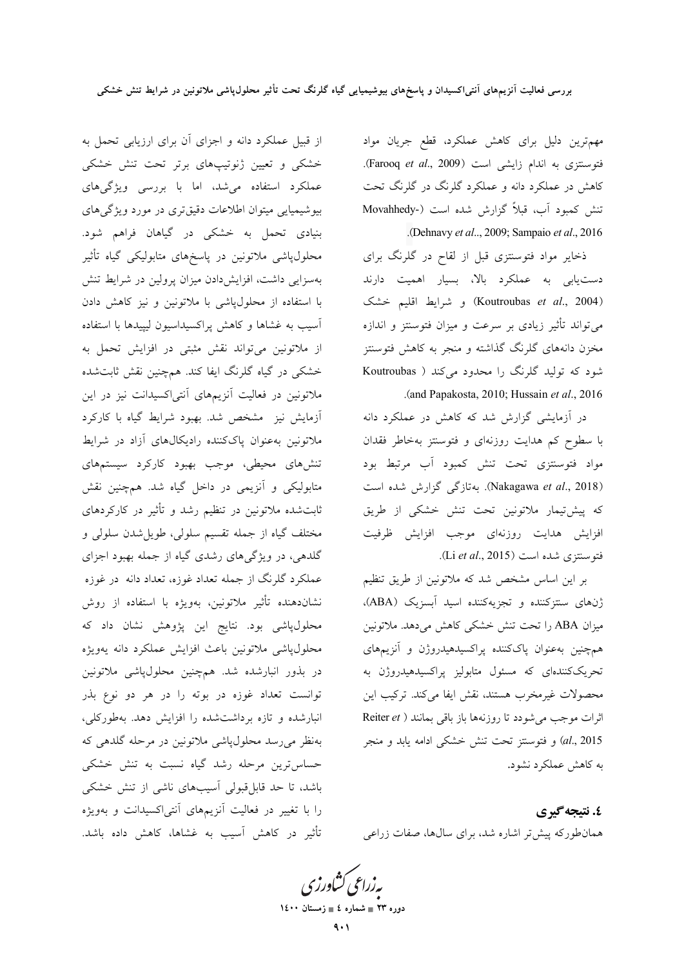مهمترین دلیل برای کاهش عملکرد، قطع جریان مواد فتوسنتزى به اندام زايشى است (Farooq et al., 2009). کاهش در عملکرد دانه و عملکرد گلرنگ در گلرنگ تحت تنش كمبود أب، قبلاً گزارش شده است (Movahhedy-.(Dehnavy et al.., 2009; Sampaio et al., 2016

ذخایر مواد فتوسنتزی قبل از لقاح در گلرنگ برای دستیابی به عملکرد بالا، بسیار اهمیت دارند (Koutroubas et al., 2004) و شرايط اقليم خشک میتواند تأثیر زیادی بر سرعت و میزان فتوسنتز و اندازه مخزن دانههای گلرنگ گذاشته و منجر به کاهش فتوسنتز شود که تولید گلرنگ را محدود میکند ( Koutroubas .(and Papakosta, 2010; Hussain et al., 2016

در آزمایشی گزارش شد که کاهش در عملکرد دانه با سطوح کم هدایت روزنهای و فتوسنتز بهخاطر فقدان مواد فتوسنتزى تحت تنش كمبود آب مرتبط بود (Nakagawa et al., 2018). بهتازگی گزارش شده است كه پیشتیمار ملاتونین تحت تنش خشكی از طریق افزایش هدایت روزنهای موجب افزایش ظرفیت فتوسنتزى شده است (Li et al., 2015).

بر این اساس مشخص شد که ملاتونین از طریق تنظیم ژنهای سنتزکننده و تجزیهکننده اسید آبسزیک (ABA). میزان ABA را تحت تنش خشکی کاهش می دهد. ملاتونین همچنین بهعنوان پاککننده پراکسیدهیدروژن و آنزیمهای تحریککنندهای که مسئول متابولیز پراکسیدهیدروژن به محصولات غیرمخرب هستند، نقش ایفا میکند. ترکیب این اثرات موجب می شودد تا روزنهها باز باقی بمانند ( Reiter et al., 2015) و فتوسنتز تحت تنش خشکی ادامه یابد و منجر به کاهش عملکرد نشود.

٤. نتيجه گيري همان طورکه پیش تر اشاره شد، برای سال ها، صفات زراعی

بەزراعى كشاورزى دوره ۲۳ ∎ شماره ٤ ∎ زمستان ۱٤۰۰

از قبیل عملکرد دانه و اجزای آن برای ارزیابی تحمل به .<br>خشکی و تعیین ژنوتیپهای برتر تحت تنش خشکی عملکرد استفاده میشد، اما با بررسی ویژگیهای بیوشیمیایی میتوان اطلاعات دقیقتری در مورد ویژگیهای بنیادی تحمل به خشکی در گیاهان فراهم شود. محلولپاشی ملاتونین در پاسخهای متابولیکی گیاه تأثیر بهسزایی داشت، افزایشدادن میزان پرولین در شرایط تنش با استفاده از محلول $y$ شی با ملاتونین و نیز کاهش دادن آسیب به غشاها و کاهش پراکسیداسیون لیپیدها با استفاده از ملاتونین می تواند نقش مثبتی در افزایش تحمل به خشکی در گیاه گلرنگ ایفا کند. همچنین نقش ثابتشده ملاتونین در فعالیت آنزیمهای آنتی|کسیدانت نیز در این آزمایش نیز مشخص شد. بهبود شرایط گیاه با کارکرد ملاتونین بهعنوان پاککننده رادیکالهای آزاد در شرایط تنشهای محیطی، موجب بهبود کارکرد سیستمهای متابولیکی و آنزیمی در داخل گیاه شد. همچنین نقش ثابت شده ملاتونین در تنظیم رشد و تأثیر در کارکردهای مختلف گياه از جمله تقسيم سلولي، طويل شدن سلولي و گلدهی، در ویژگیهای رشدی گیاه از جمله بهبود اجزای عملکرد گلرنگ از جمله تعداد غوزه، تعداد دانه ً در غوزه نشاندهنده تأثیر ملاتونین، بهویژه با استفاده از روش محلولپاشی بود. نتایج این پژوهش نشان داد که محلول،پاشی ملاتونین باعث افزایش عملکرد دانه یهویژه در بذور انبارشده شد. همچنین محلولپاشی ملاتونین توانست تعداد غوزه در بوته را در هر دو نوع بذر انبارشده و تازه برداشتشده را افزایش دهد. بهطورکلی، بەنظر مىرسد محلول،پاشى ملاتونين در مرحله گلدهى كه حساس ترین مرحله رشد گیاه نسبت به تنش خشکی باشد، تا حد قابل قبولی اَسیبهای ناشی از تنش خشکی را با تغییر در فعالیت آنزیمهای آنتیاکسیدانت و بهویژه تأثیر در کاهش آسیب به غشاها، کاهش داده باشد.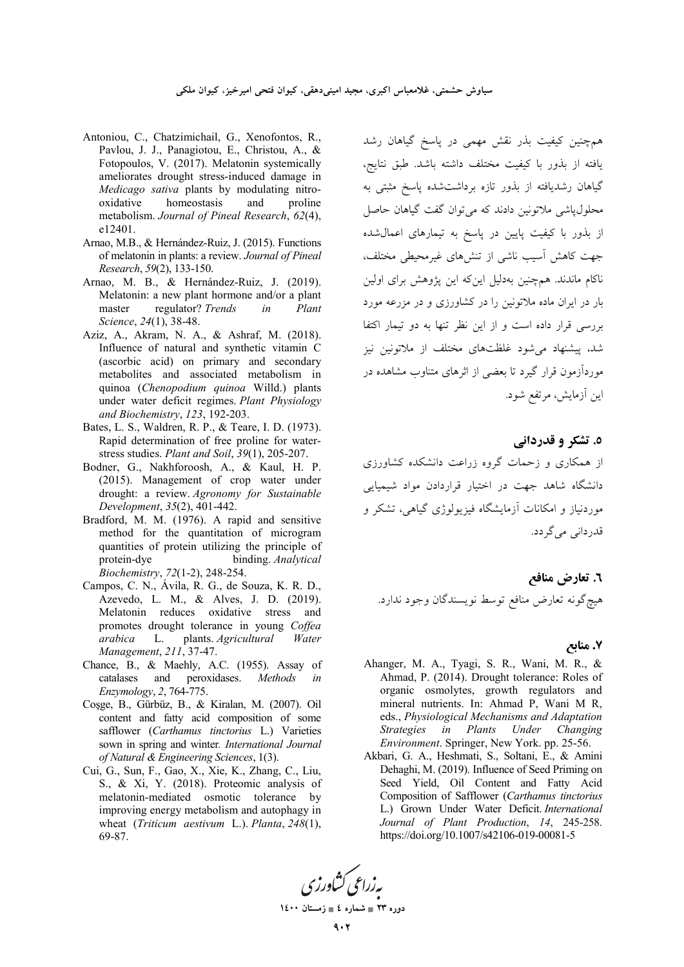- Antoniou, C., Chatzimichail, G., Xenofontos, R., Pavlou, J. J., Panagiotou, E., Christou, A., & Fotopoulos, V. (2017). Melatonin systemically ameliorates drought stress-induced damage in Medicago sativa plants by modulating nitrooxidative homeostasis and proline metabolism. Journal of Pineal Research, 62(4). e12401.
- Arnao, M.B., & Hernández-Ruiz, J. (2015). Functions of melatonin in plants: a review. Journal of Pineal Research, 59(2), 133-150.
- Arnao, M. B., & Hernández-Ruiz, J. (2019). Melatonin: a new plant hormone and/or a plant master regulator? Trends  $in$ Plant Science, 24(1), 38-48.
- Aziz, A., Akram, N. A., & Ashraf, M. (2018). Influence of natural and synthetic vitamin C (ascorbic acid) on primary and secondary metabolites and associated metabolism in quinoa (Chenopodium quinoa Willd.) plants under water deficit regimes. Plant Physiology and Biochemistry, 123, 192-203.
- Bates, L. S., Waldren, R. P., & Teare, I. D. (1973). Rapid determination of free proline for waterstress studies. Plant and Soil, 39(1), 205-207.
- Bodner, G., Nakhforoosh, A., & Kaul, H. P. (2015). Management of crop water under drought: a review. Agronomy for Sustainable Development, 35(2), 401-442.
- Bradford, M. M. (1976). A rapid and sensitive method for the quantitation of microgram quantities of protein utilizing the principle of binding. Analytical protein-dye Biochemistry, 72(1-2), 248-254.
- Campos, C. N., Ávila, R. G., de Souza, K. R. D., Azevedo, L. M., & Alves, J. D. (2019). Melatonin reduces oxidative stress and promotes drought tolerance in young Coffea plants. Agricultural arabica L. Water Management, 211, 37-47.
- Chance, B., & Maehly, A.C. (1955). Assay of peroxidases. catalases and Methods in Enzymology, 2, 764-775.
- Cosge, B., Gürbüz, B., & Kiralan, M. (2007). Oil content and fatty acid composition of some safflower (Carthamus tinctorius L.) Varieties sown in spring and winter. International Journal of Natural & Engineering Sciences, 1(3).
- Cui, G., Sun, F., Gao, X., Xie, K., Zhang, C., Liu, S., & Xi, Y. (2018). Proteomic analysis of melatonin-mediated osmotic tolerance by improving energy metabolism and autophagy in wheat (Triticum aestivum L.). Planta,  $248(1)$ , 69-87.

همچنین کیفیت بذر نقش مهمی در یاسخ گیاهان رشد .<br>يافته از بذور با كيفيت مختلف داشته باشد. طبق نتايج، گیاهان رشدیافته از بذور تازه برداشتشده پاسخ مثبتی به محلول،اشی ملاتونین دادند که می توان گفت گیاهان حاصل از بذور با کیفیت پایین در پاسخ به تیمارهای اعمال شده جهت کاهش آسیب ناشی از تنشهای غیرمحیطی مختلف، ناکام ماندند. همچنین بهدلیل اینکه این پژوهش برای اولین بار در ایران ماده ملاتونین را در کشاورزی و در مزرعه مورد بررسی قرار داده است و از این نظر تنها به دو تیمار اکتفا شد، پیشنهاد می شود غلظتهای مختلف از ملاتونین نیز مورداًزمون قرار گیرد تا بعضبی از اثرهای متناوب مشاهده در این آزمایش، مرتفع شود.

#### ٥. تشکر و قدردانی

از همکاری و زحمات گروه زراعت دانشکده کشاورزی دانشگاه شاهد جهت در اختیار قراردادن مواد شیمیایی موردنیاز و امکانات آزمایشگاه فیزیولوژی گیاهی، تشکر و قدردانی می گر دد.

٦. تعارض منافع هيچگونه تعارض منافع توسط نويسندگان وجود ندارد.

#### ۷. منابع

- Ahanger, M. A., Tyagi, S. R., Wani, M. R., & Ahmad, P. (2014). Drought tolerance: Roles of organic osmolytes, growth regulators and mineral nutrients. In: Ahmad P, Wani M R, eds., Physiological Mechanisms and Adaptation in Plants Under Changing **Strategies** Environment. Springer, New York. pp. 25-56.
- Akbari, G. A., Heshmati, S., Soltani, E., & Amini Dehaghi, M. (2019). Influence of Seed Priming on Seed Yield, Oil Content and Fatty Acid Composition of Safflower (Carthamus tinctorius L.) Grown Under Water Deficit. International Journal of Plant Production, 14, 245-258. https://doi.org/10.1007/s42106-019-00081-5



دوره ۲۳ = شماره ٤ = زمستان ۱٤۰۰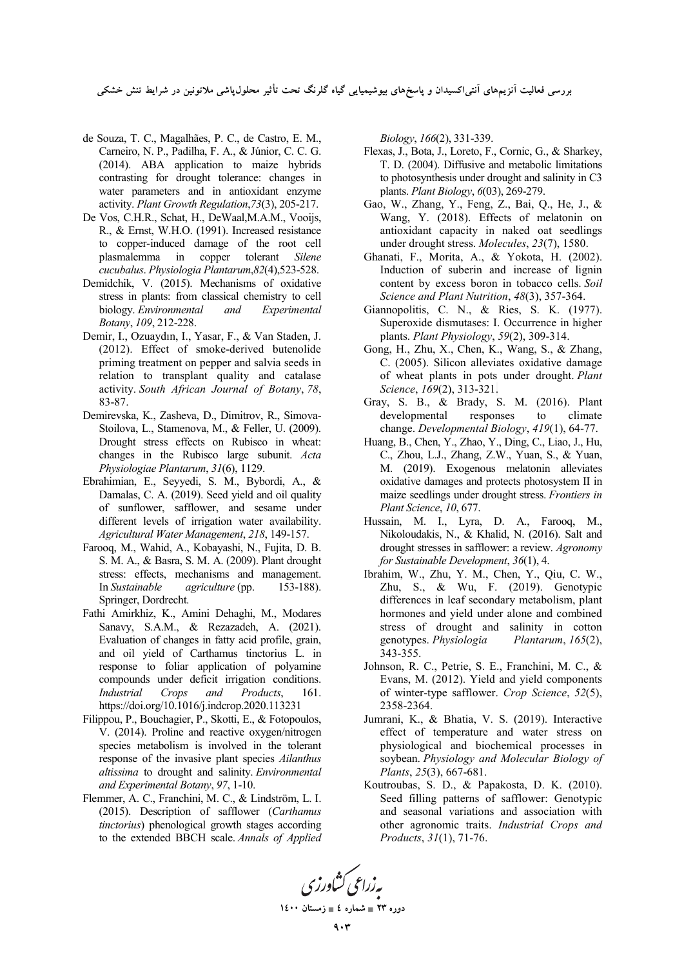بررسی فعالیت انزیمهای انت<sub>حا</sub>کسیدان و پاسخهای بیوشیمیایی گیاه گلرنگ تحت تاثیر محلول،پاشی ملاتونین در شرایط تنش خشکی

- de Souza, T. C., Magalhães, P. C., de Castro, E. M., Carneiro, N. P., Padilha, F. A., & Júnior, C. C. G. (2014). ABA application to maize hybrids contrasting for drought tolerance: changes in water parameters and in antioxidant enzyme activity. *Plant Growth Regulation*,*73*(3), 205-217.
- De Vos, C.H.R., Schat, H., DeWaal,M.A.M., Vooijs, R., & Ernst, W.H.O. (1991). Increased resistance to copper‐induced damage of the root cell plasmalemma in copper tolerant *Silene cucubalus*. *Physiologia Plantarum*,*82*(4),523-528.
- Demidchik, V. (2015). Mechanisms of oxidative stress in plants: from classical chemistry to cell biology. *Environmental and Experimental Botany*, *109*, 212-228.
- Demir, I., Ozuaydın, I., Yasar, F., & Van Staden, J. (2012). Effect of smoke-derived butenolide priming treatment on pepper and salvia seeds in relation to transplant quality and catalase activity. *South African Journal of Botany*, *78*, 83-87.
- Demirevska, K., Zasheva, D., Dimitrov, R., Simova-Stoilova, L., Stamenova, M., & Feller, U. (2009). Drought stress effects on Rubisco in wheat: changes in the Rubisco large subunit. *Acta Physiologiae Plantarum*, *31*(6), 1129.
- Ebrahimian, E., Seyyedi, S. M., Bybordi, A., & Damalas, C. A. (2019). Seed yield and oil quality of sunflower, safflower, and sesame under different levels of irrigation water availability. *Agricultural Water Management*, *218*, 149-157.
- Farooq, M., Wahid, A., Kobayashi, N., Fujita, D. B. S. M. A., & Basra, S. M. A. (2009). Plant drought stress: effects, mechanisms and management. In *Sustainable agriculture* (pp. 153-188). Springer, Dordrecht.
- Fathi Amirkhiz, K., Amini Dehaghi, M., Modares Sanavy, S.A.M., & Rezazadeh, A. (2021). Evaluation of changes in fatty acid profile, grain, and oil yield of Carthamus tinctorius L. in response to foliar application of polyamine compounds under deficit irrigation conditions. *Industrial Crops and Products*, 161. https://doi.org/10.1016/j.indcrop.2020.113231
- Filippou, P., Bouchagier, P., Skotti, E., & Fotopoulos, V. (2014). Proline and reactive oxygen/nitrogen species metabolism is involved in the tolerant response of the invasive plant species *Ailanthus altissima* to drought and salinity. *Environmental and Experimental Botany*, *97*, 1-10.
- Flemmer, A. C., Franchini, M. C., & Lindström, L. I. (2015). Description of safflower (*Carthamus tinctorius*) phenological growth stages according to the extended BBCH scale. *Annals of Applied*

*Biology*, *166*(2), 331-339.

- Flexas, J., Bota, J., Loreto, F., Cornic, G., & Sharkey, T. D. (2004). Diffusive and metabolic limitations to photosynthesis under drought and salinity in C3 plants. *Plant Biology*, *6*(03), 269-279.
- Gao, W., Zhang, Y., Feng, Z., Bai, Q., He, J., & Wang, Y. (2018). Effects of melatonin on antioxidant capacity in naked oat seedlings under drought stress. *Molecules*, *23*(7), 1580.
- Ghanati, F., Morita, A., & Yokota, H. (2002). Induction of suberin and increase of lignin content by excess boron in tobacco cells. *Soil Science and Plant Nutrition*, *48*(3), 357-364.
- Giannopolitis, C. N., & Ries, S. K. (1977). Superoxide dismutases: I. Occurrence in higher plants. *Plant Physiology*, *59*(2), 309-314.
- Gong, H., Zhu, X., Chen, K., Wang, S., & Zhang, C. (2005). Silicon alleviates oxidative damage of wheat plants in pots under drought. *Plant Science*, *169*(2), 313-321.
- Gray, S. B., & Brady, S. M. (2016). Plant developmental responses to climate change. *Developmental Biology*, *419*(1), 64-77.
- Huang, B., Chen, Y., Zhao, Y., Ding, C., Liao, J., Hu, C., Zhou, L.J., Zhang, Z.W., Yuan, S., & Yuan, M. (2019). Exogenous melatonin alleviates oxidative damages and protects photosystem II in maize seedlings under drought stress. *Frontiers in Plant Science*, *10*, 677.
- Hussain, M. I., Lyra, D. A., Farooq, M., Nikoloudakis, N., & Khalid, N. (2016). Salt and drought stresses in safflower: a review. *Agronomy for Sustainable Development*, *36*(1), 4.
- Ibrahim, W., Zhu, Y. M., Chen, Y., Qiu, C. W., Zhu, S., & Wu, F. (2019). Genotypic differences in leaf secondary metabolism, plant hormones and yield under alone and combined stress of drought and salinity in cotton genotypes. *Physiologia Plantarum*, *165*(2), 343-355.
- Johnson, R. C., Petrie, S. E., Franchini, M. C., & Evans, M. (2012). Yield and yield components of winter-type safflower. *Crop Science*, *52*(5), 2358-2364.
- Jumrani, K., & Bhatia, V. S. (2019). Interactive effect of temperature and water stress on physiological and biochemical processes in soybean. *Physiology and Molecular Biology of Plants*, *25*(3), 667-681.
- Koutroubas, S. D., & Papakosta, D. K. (2010). Seed filling patterns of safflower: Genotypic and seasonal variations and association with other agronomic traits. *Industrial Crops and Products*, *31*(1), 71-76.

به زراعی کشاورزی

دوره ۲۳ <u>ـ شماره ٤ ـ زمستان ۱</u>٤۰۰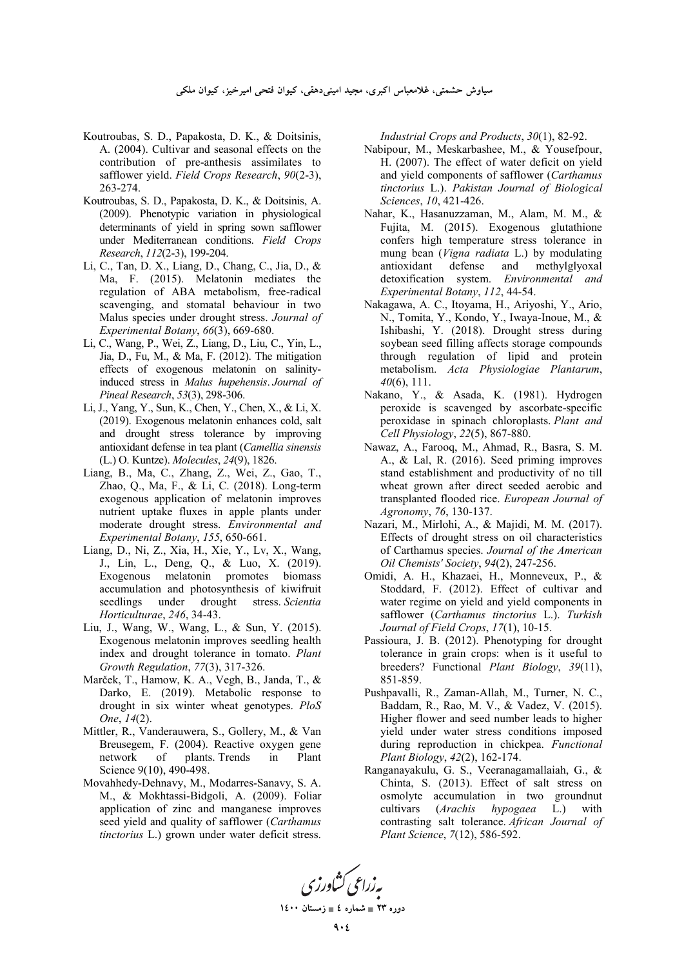سیاوش حشمتی، غلامعباس اکبری، مجید امینیدهقی، کیوان فتحی امیرخیز، کیوان ملکی

- Koutroubas, S. D., Papakosta, D. K., & Doitsinis, A. (2004). Cultivar and seasonal effects on the contribution of pre-anthesis assimilates to safflower yield. *Field Crops Research*, *90*(2-3), 263-274.
- Koutroubas, S. D., Papakosta, D. K., & Doitsinis, A. (2009). Phenotypic variation in physiological determinants of yield in spring sown safflower under Mediterranean conditions. *Field Crops Research*, *112*(2-3), 199-204.
- Li, C., Tan, D. X., Liang, D., Chang, C., Jia, D., & Ma, F. (2015). Melatonin mediates the regulation of ABA metabolism, free-radical scavenging, and stomatal behaviour in two Malus species under drought stress. *Journal of Experimental Botany*, *66*(3), 669-680.
- Li, C., Wang, P., Wei, Z., Liang, D., Liu, C., Yin, L., Jia, D., Fu, M., & Ma, F. (2012). The mitigation effects of exogenous melatonin on salinity‐ induced stress in *Malus hupehensis*. *Journal of Pineal Research*, *53*(3), 298-306.
- Li, J., Yang, Y., Sun, K., Chen, Y., Chen, X., & Li, X. (2019). Exogenous melatonin enhances cold, salt and drought stress tolerance by improving antioxidant defense in tea plant (*Camellia sinensis* (L.) O. Kuntze). *Molecules*, *24*(9), 1826.
- Liang, B., Ma, C., Zhang, Z., Wei, Z., Gao, T., Zhao, Q., Ma, F., & Li, C. (2018). Long-term exogenous application of melatonin improves nutrient uptake fluxes in apple plants under moderate drought stress. *Environmental and Experimental Botany*, *155*, 650-661.
- Liang, D., Ni, Z., Xia, H., Xie, Y., Lv, X., Wang, J., Lin, L., Deng, Q., & Luo, X. (2019). Exogenous melatonin promotes biomass accumulation and photosynthesis of kiwifruit seedlings under drought stress. *Scientia Horticulturae*, *246*, 34-43.
- Liu, J., Wang, W., Wang, L., & Sun, Y. (2015). Exogenous melatonin improves seedling health index and drought tolerance in tomato. *Plant Growth Regulation*, *77*(3), 317-326.
- Marček, T., Hamow, K. A., Vegh, B., Janda, T., & Darko, E. (2019). Metabolic response to drought in six winter wheat genotypes. *PloS One*, *14*(2).
- Mittler, R., Vanderauwera, S., Gollery, M., & Van Breusegem, F. (2004). Reactive oxygen gene network of plants. Trends in Plant Science 9(10), 490-498.
- Movahhedy-Dehnavy, M., Modarres-Sanavy, S. A. M., & Mokhtassi-Bidgoli, A. (2009). Foliar application of zinc and manganese improves seed yield and quality of safflower (*Carthamus tinctorius* L.) grown under water deficit stress.

*Industrial Crops and Products*, *30*(1), 82-92.

- Nabipour, M., Meskarbashee, M., & Yousefpour, H. (2007). The effect of water deficit on yield and yield components of safflower (*Carthamus tinctorius* L.). *Pakistan Journal of Biological Sciences*, *10*, 421-426.
- Nahar, K., Hasanuzzaman, M., Alam, M. M., & Fujita, M. (2015). Exogenous glutathione confers high temperature stress tolerance in mung bean (*Vigna radiata* L.) by modulating<br>antioxidant defense and methylglyoxal antioxidant defense and methylglyoxal detoxification system. *Environmental and Experimental Botany*, *112*, 44-54.
- Nakagawa, A. C., Itoyama, H., Ariyoshi, Y., Ario, N., Tomita, Y., Kondo, Y., Iwaya-Inoue, M., & Ishibashi, Y. (2018). Drought stress during soybean seed filling affects storage compounds through regulation of lipid and protein metabolism. *Acta Physiologiae Plantarum*, *40*(6), 111.
- Nakano, Y., & Asada, K. (1981). Hydrogen peroxide is scavenged by ascorbate-specific peroxidase in spinach chloroplasts. *Plant and Cell Physiology*, *22*(5), 867-880.
- Nawaz, A., Farooq, M., Ahmad, R., Basra, S. M. A., & Lal, R. (2016). Seed priming improves stand establishment and productivity of no till wheat grown after direct seeded aerobic and transplanted flooded rice. *European Journal of Agronomy*, *76*, 130-137.
- Nazari, M., Mirlohi, A., & Majidi, M. M. (2017). Effects of drought stress on oil characteristics of Carthamus species. *Journal of the American Oil Chemists' Society*, *94*(2), 247-256.
- Omidi, A. H., Khazaei, H., Monneveux, P., & Stoddard, F. (2012). Effect of cultivar and water regime on yield and yield components in safflower (*Carthamus tinctorius* L.). *Turkish Journal of Field Crops*, *17*(1), 10-15.
- Passioura, J. B. (2012). Phenotyping for drought tolerance in grain crops: when is it useful to breeders? Functional *Plant Biology*, *39*(11), 851-859.
- Pushpavalli, R., Zaman-Allah, M., Turner, N. C., Baddam, R., Rao, M. V., & Vadez, V. (2015). Higher flower and seed number leads to higher yield under water stress conditions imposed during reproduction in chickpea. *Functional Plant Biology*, *42*(2), 162-174.
- Ranganayakulu, G. S., Veeranagamallaiah, G., & Chinta, S. (2013). Effect of salt stress on osmolyte accumulation in two groundnut cultivars (*Arachis hypogaea* L.) with contrasting salt tolerance. *African Journal of Plant Science*, *7*(12), 586-592.



**1400  4 - 23 -**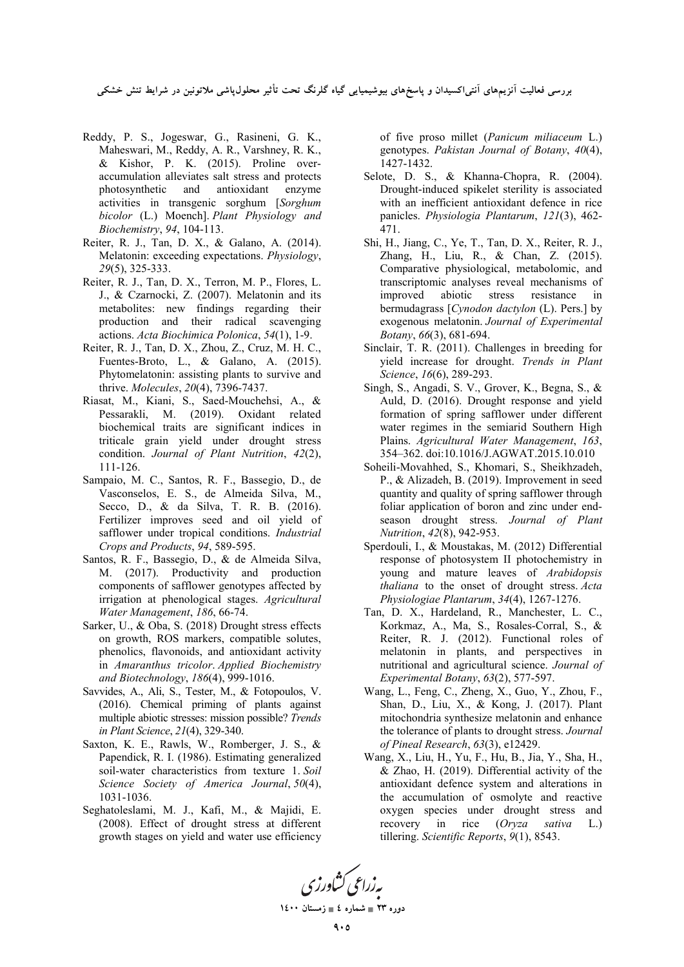بررسی فعالیت انزیمهای انت<sub>حا</sub>کسیدان و پاسخهای بیوشیمیایی گیاه گلرنگ تحت تاثیر محلول،پاشی ملاتونین در شرایط تنش خشکی

- Reddy, P. S., Jogeswar, G., Rasineni, G. K., Maheswari, M., Reddy, A. R., Varshney, R. K., & Kishor, P. K. (2015). Proline overaccumulation alleviates salt stress and protects photosynthetic and antioxidant enzyme activities in transgenic sorghum [*Sorghum bicolor* (L.) Moench]. *Plant Physiology and Biochemistry*, *94*, 104-113.
- Reiter, R. J., Tan, D. X., & Galano, A. (2014). Melatonin: exceeding expectations. *Physiology*, *29*(5), 325-333.
- Reiter, R. J., Tan, D. X., Terron, M. P., Flores, L. J., & Czarnocki, Z. (2007). Melatonin and its metabolites: new findings regarding their production and their radical scavenging actions. *Acta Biochimica Polonica*, *54*(1), 1-9.
- Reiter, R. J., Tan, D. X., Zhou, Z., Cruz, M. H. C., Fuentes-Broto, L., & Galano, A. (2015). Phytomelatonin: assisting plants to survive and thrive. *Molecules*, *20*(4), 7396-7437.
- Riasat, M., Kiani, S., Saed-Mouchehsi, A., & Pessarakli, M. (2019). Oxidant related biochemical traits are significant indices in triticale grain yield under drought stress condition. *Journal of Plant Nutrition*, *42*(2), 111-126.
- Sampaio, M. C., Santos, R. F., Bassegio, D., de Vasconselos, E. S., de Almeida Silva, M., Secco, D., & da Silva, T. R. B. (2016). Fertilizer improves seed and oil yield of safflower under tropical conditions. *Industrial Crops and Products*, *94*, 589-595.
- Santos, R. F., Bassegio, D., & de Almeida Silva, M. (2017). Productivity and production components of safflower genotypes affected by irrigation at phenological stages. *Agricultural Water Management*, *186*, 66-74.
- Sarker, U., & Oba, S. (2018) Drought stress effects on growth, ROS markers, compatible solutes, phenolics, flavonoids, and antioxidant activity in *Amaranthus tricolor*. *Applied Biochemistry and Biotechnology*, *186*(4), 999-1016.
- Savvides, A., Ali, S., Tester, M., & Fotopoulos, V. (2016). Chemical priming of plants against multiple abiotic stresses: mission possible? *Trends in Plant Science*, *21*(4), 329-340.
- Saxton, K. E., Rawls, W., Romberger, J. S., & Papendick, R. I. (1986). Estimating generalized soil-water characteristics from texture 1. *Soil Science Society of America Journal*, *50*(4), 1031-1036.
- Seghatoleslami, M. J., Kafi, M., & Majidi, E. (2008). Effect of drought stress at different growth stages on yield and water use efficiency

of five proso millet (*Panicum miliaceum* L.) genotypes. *Pakistan Journal of Botany*, *40*(4), 1427-1432.

- Selote, D. S., & Khanna-Chopra, R. (2004). Drought‐induced spikelet sterility is associated with an inefficient antioxidant defence in rice panicles. *Physiologia Plantarum*, *121*(3), 462- 471.
- Shi, H., Jiang, C., Ye, T., Tan, D. X., Reiter, R. J., Zhang, H., Liu, R., & Chan, Z. (2015). Comparative physiological, metabolomic, and transcriptomic analyses reveal mechanisms of improved abiotic stress resistance in bermudagrass [*Cynodon dactylon* (L). Pers.] by exogenous melatonin. *Journal of Experimental Botany*, *66*(3), 681-694.
- Sinclair, T. R. (2011). Challenges in breeding for yield increase for drought. *Trends in Plant Science*, *16*(6), 289-293.
- Singh, S., Angadi, S. V., Grover, K., Begna, S., & Auld, D. (2016). Drought response and yield formation of spring safflower under different water regimes in the semiarid Southern High Plains. *Agricultural Water Management*, *163*, 354–362. doi:10.1016/J.AGWAT.2015.10.010
- Soheili-Movahhed, S., Khomari, S., Sheikhzadeh, P., & Alizadeh, B. (2019). Improvement in seed quantity and quality of spring safflower through foliar application of boron and zinc under endseason drought stress. *Journal of Plant Nutrition*, *42*(8), 942-953.
- Sperdouli, I., & Moustakas, M. (2012) Differential response of photosystem II photochemistry in young and mature leaves of *Arabidopsis thaliana* to the onset of drought stress. *Acta Physiologiae Plantarum*, *34*(4), 1267-1276.
- Tan, D. X., Hardeland, R., Manchester, L. C., Korkmaz, A., Ma, S., Rosales-Corral, S., & Reiter, R. J. (2012). Functional roles of melatonin in plants, and perspectives in nutritional and agricultural science. *Journal of Experimental Botany*, *63*(2), 577-597.
- Wang, L., Feng, C., Zheng, X., Guo, Y., Zhou, F., Shan, D., Liu, X., & Kong, J. (2017). Plant mitochondria synthesize melatonin and enhance the tolerance of plants to drought stress. *Journal of Pineal Research*, *63*(3), e12429.
- Wang, X., Liu, H., Yu, F., Hu, B., Jia, Y., Sha, H., & Zhao, H. (2019). Differential activity of the antioxidant defence system and alterations in the accumulation of osmolyte and reactive oxygen species under drought stress and recovery in rice (*Oryza sativa* L.) tillering. *Scientific Reports*, *9*(1), 8543.

به زراعی کشاورزی

دوره ۲۳ <u>ـ شماره ٤ ـ زمستان ۱</u>٤۰۰